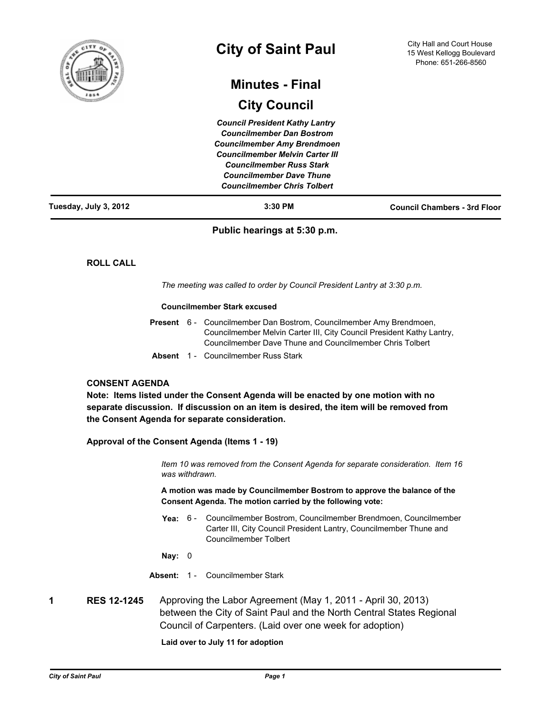

# **City of Saint Paul**

# **Minutes - Final**

# **City Council**

*Council President Kathy Lantry Councilmember Dan Bostrom Councilmember Amy Brendmoen Councilmember Melvin Carter III Councilmember Russ Stark Councilmember Dave Thune Councilmember Chris Tolbert*

| Tuesday, July 3, 2012 | 3:30 PM | <b>Council Chambers - 3rd Floor</b> |
|-----------------------|---------|-------------------------------------|
|                       |         |                                     |

# **Public hearings at 5:30 p.m.**

**ROLL CALL**

*The meeting was called to order by Council President Lantry at 3:30 p.m.*

#### **Councilmember Stark excused**

|  | <b>Present</b> 6 - Councilmember Dan Bostrom, Councilmember Amy Brendmoen,<br>Councilmember Melvin Carter III, City Council President Kathy Lantry,<br>Councilmember Dave Thune and Councilmember Chris Tolbert |
|--|-----------------------------------------------------------------------------------------------------------------------------------------------------------------------------------------------------------------|
|  | <b>Absent</b> 1 - Councilmember Russ Stark                                                                                                                                                                      |

## **CONSENT AGENDA**

**Note: Items listed under the Consent Agenda will be enacted by one motion with no separate discussion. If discussion on an item is desired, the item will be removed from the Consent Agenda for separate consideration.**

# **Approval of the Consent Agenda (Items 1 - 19)**

*Item 10 was removed from the Consent Agenda for separate consideration. Item 16 was withdrawn.*

**A motion was made by Councilmember Bostrom to approve the balance of the Consent Agenda. The motion carried by the following vote:**

Yea: 6 - Councilmember Bostrom, Councilmember Brendmoen, Councilmember Carter III, City Council President Lantry, Councilmember Thune and Councilmember Tolbert

**Nay:** 0

**Absent:** 1 - Councilmember Stark

**1 RES 12-1245** Approving the Labor Agreement (May 1, 2011 - April 30, 2013) between the City of Saint Paul and the North Central States Regional Council of Carpenters. (Laid over one week for adoption)

**Laid over to July 11 for adoption**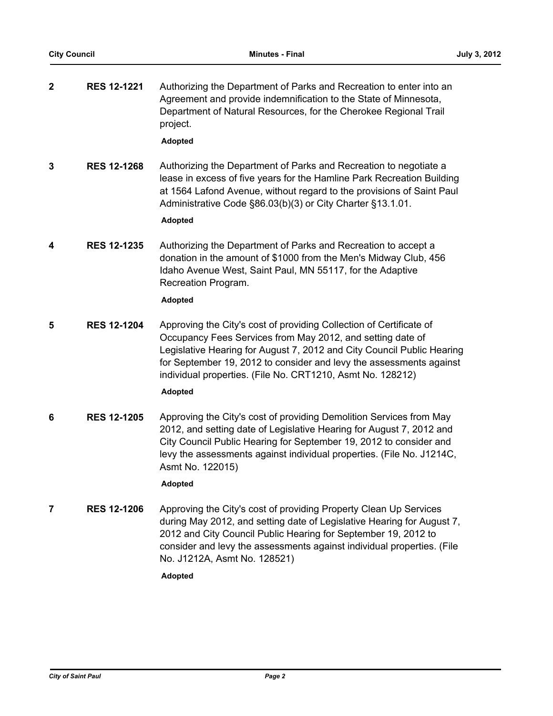**2 RES 12-1221** Authorizing the Department of Parks and Recreation to enter into an Agreement and provide indemnification to the State of Minnesota, Department of Natural Resources, for the Cherokee Regional Trail project.

**Adopted**

**3 RES 12-1268** Authorizing the Department of Parks and Recreation to negotiate a lease in excess of five years for the Hamline Park Recreation Building at 1564 Lafond Avenue, without regard to the provisions of Saint Paul Administrative Code §86.03(b)(3) or City Charter §13.1.01.

**Adopted**

**4 RES 12-1235** Authorizing the Department of Parks and Recreation to accept a donation in the amount of \$1000 from the Men's Midway Club, 456 Idaho Avenue West, Saint Paul, MN 55117, for the Adaptive Recreation Program.

# **Adopted**

**5 RES 12-1204** Approving the City's cost of providing Collection of Certificate of Occupancy Fees Services from May 2012, and setting date of Legislative Hearing for August 7, 2012 and City Council Public Hearing for September 19, 2012 to consider and levy the assessments against individual properties. (File No. CRT1210, Asmt No. 128212)

# **Adopted**

**6 RES 12-1205** Approving the City's cost of providing Demolition Services from May 2012, and setting date of Legislative Hearing for August 7, 2012 and City Council Public Hearing for September 19, 2012 to consider and levy the assessments against individual properties. (File No. J1214C, Asmt No. 122015)

# **Adopted**

**7 RES 12-1206** Approving the City's cost of providing Property Clean Up Services during May 2012, and setting date of Legislative Hearing for August 7, 2012 and City Council Public Hearing for September 19, 2012 to consider and levy the assessments against individual properties. (File No. J1212A, Asmt No. 128521)

**Adopted**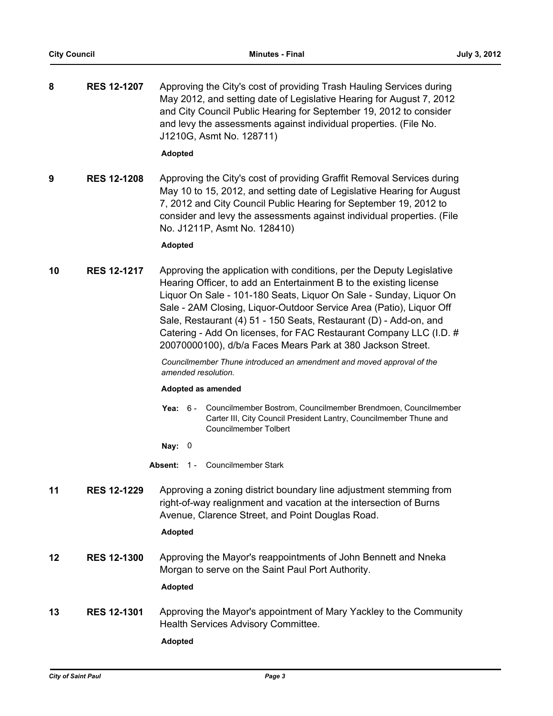| 8                         | <b>RES 12-1207</b> | Approving the City's cost of providing Trash Hauling Services during<br>May 2012, and setting date of Legislative Hearing for August 7, 2012<br>and City Council Public Hearing for September 19, 2012 to consider<br>and levy the assessments against individual properties. (File No.<br>J1210G, Asmt No. 128711)                                                                                                                                                                                |
|---------------------------|--------------------|----------------------------------------------------------------------------------------------------------------------------------------------------------------------------------------------------------------------------------------------------------------------------------------------------------------------------------------------------------------------------------------------------------------------------------------------------------------------------------------------------|
|                           |                    | <b>Adopted</b>                                                                                                                                                                                                                                                                                                                                                                                                                                                                                     |
| 9                         | <b>RES 12-1208</b> | Approving the City's cost of providing Graffit Removal Services during<br>May 10 to 15, 2012, and setting date of Legislative Hearing for August<br>7, 2012 and City Council Public Hearing for September 19, 2012 to<br>consider and levy the assessments against individual properties. (File<br>No. J1211P, Asmt No. 128410)                                                                                                                                                                    |
|                           |                    | <b>Adopted</b>                                                                                                                                                                                                                                                                                                                                                                                                                                                                                     |
| 10                        | <b>RES 12-1217</b> | Approving the application with conditions, per the Deputy Legislative<br>Hearing Officer, to add an Entertainment B to the existing license<br>Liquor On Sale - 101-180 Seats, Liquor On Sale - Sunday, Liquor On<br>Sale - 2AM Closing, Liquor-Outdoor Service Area (Patio), Liquor Off<br>Sale, Restaurant (4) 51 - 150 Seats, Restaurant (D) - Add-on, and<br>Catering - Add On licenses, for FAC Restaurant Company LLC (I.D. #<br>20070000100), d/b/a Faces Mears Park at 380 Jackson Street. |
|                           |                    | Councilmember Thune introduced an amendment and moved approval of the                                                                                                                                                                                                                                                                                                                                                                                                                              |
|                           |                    | amended resolution.<br>Adopted as amended                                                                                                                                                                                                                                                                                                                                                                                                                                                          |
|                           |                    | Councilmember Bostrom, Councilmember Brendmoen, Councilmember<br><b>Yea:</b> 6 -<br>Carter III, City Council President Lantry, Councilmember Thune and<br>Councilmember Tolbert                                                                                                                                                                                                                                                                                                                    |
|                           |                    | Nay: $0$                                                                                                                                                                                                                                                                                                                                                                                                                                                                                           |
|                           |                    | 1 - Councilmember Stark<br>Absent:                                                                                                                                                                                                                                                                                                                                                                                                                                                                 |
| 11                        | <b>RES 12-1229</b> | Approving a zoning district boundary line adjustment stemming from<br>right-of-way realignment and vacation at the intersection of Burns<br>Avenue, Clarence Street, and Point Douglas Road.                                                                                                                                                                                                                                                                                                       |
|                           |                    | <b>Adopted</b>                                                                                                                                                                                                                                                                                                                                                                                                                                                                                     |
| 12                        | <b>RES 12-1300</b> | Approving the Mayor's reappointments of John Bennett and Nneka<br>Morgan to serve on the Saint Paul Port Authority.                                                                                                                                                                                                                                                                                                                                                                                |
|                           |                    | <b>Adopted</b>                                                                                                                                                                                                                                                                                                                                                                                                                                                                                     |
| 13                        | <b>RES 12-1301</b> | Approving the Mayor's appointment of Mary Yackley to the Community<br>Health Services Advisory Committee.                                                                                                                                                                                                                                                                                                                                                                                          |
|                           |                    | <b>Adopted</b>                                                                                                                                                                                                                                                                                                                                                                                                                                                                                     |
|                           |                    |                                                                                                                                                                                                                                                                                                                                                                                                                                                                                                    |
| <b>City of Saint Paul</b> |                    | Page 3                                                                                                                                                                                                                                                                                                                                                                                                                                                                                             |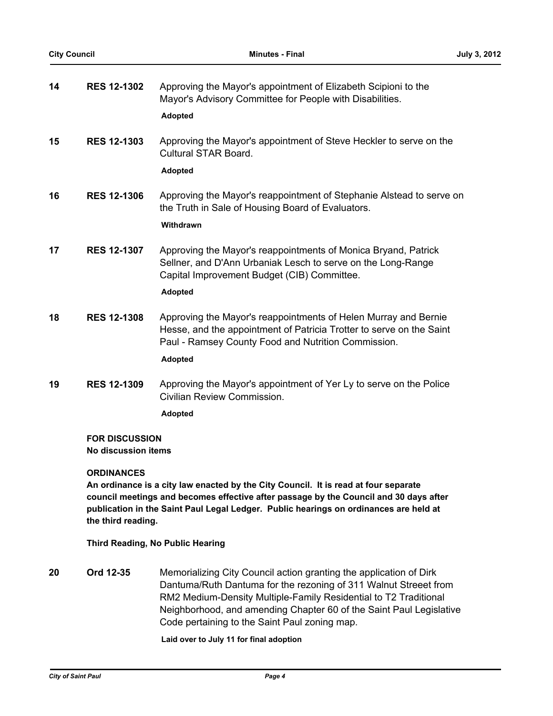| 14 | <b>RES 12-1302</b>                           | Approving the Mayor's appointment of Elizabeth Scipioni to the<br>Mayor's Advisory Committee for People with Disabilities.<br><b>Adopted</b>                                                                                                                          |
|----|----------------------------------------------|-----------------------------------------------------------------------------------------------------------------------------------------------------------------------------------------------------------------------------------------------------------------------|
| 15 | <b>RES 12-1303</b>                           | Approving the Mayor's appointment of Steve Heckler to serve on the<br>Cultural STAR Board.<br><b>Adopted</b>                                                                                                                                                          |
| 16 | <b>RES 12-1306</b>                           | Approving the Mayor's reappointment of Stephanie Alstead to serve on<br>the Truth in Sale of Housing Board of Evaluators.<br>Withdrawn                                                                                                                                |
| 17 | <b>RES 12-1307</b>                           | Approving the Mayor's reappointments of Monica Bryand, Patrick<br>Sellner, and D'Ann Urbaniak Lesch to serve on the Long-Range<br>Capital Improvement Budget (CIB) Committee.<br>Adopted                                                                              |
| 18 | <b>RES 12-1308</b>                           | Approving the Mayor's reappointments of Helen Murray and Bernie<br>Hesse, and the appointment of Patricia Trotter to serve on the Saint<br>Paul - Ramsey County Food and Nutrition Commission.<br><b>Adopted</b>                                                      |
| 19 | <b>RES 12-1309</b>                           | Approving the Mayor's appointment of Yer Ly to serve on the Police<br>Civilian Review Commission.<br><b>Adopted</b>                                                                                                                                                   |
|    | <b>FOR DISCUSSION</b><br>No discussion items |                                                                                                                                                                                                                                                                       |
|    | <b>ORDINANCES</b><br>the third reading.      | An ordinance is a city law enacted by the City Council. It is read at four separate<br>council meetings and becomes effective after passage by the Council and 30 days after<br>publication in the Saint Paul Legal Ledger. Public hearings on ordinances are held at |
|    |                                              |                                                                                                                                                                                                                                                                       |

- **Third Reading, No Public Hearing**
- **20 Ord 12-35** Memorializing City Council action granting the application of Dirk Dantuma/Ruth Dantuma for the rezoning of 311 Walnut Streeet from RM2 Medium-Density Multiple-Family Residential to T2 Traditional Neighborhood, and amending Chapter 60 of the Saint Paul Legislative Code pertaining to the Saint Paul zoning map.

**Laid over to July 11 for final adoption**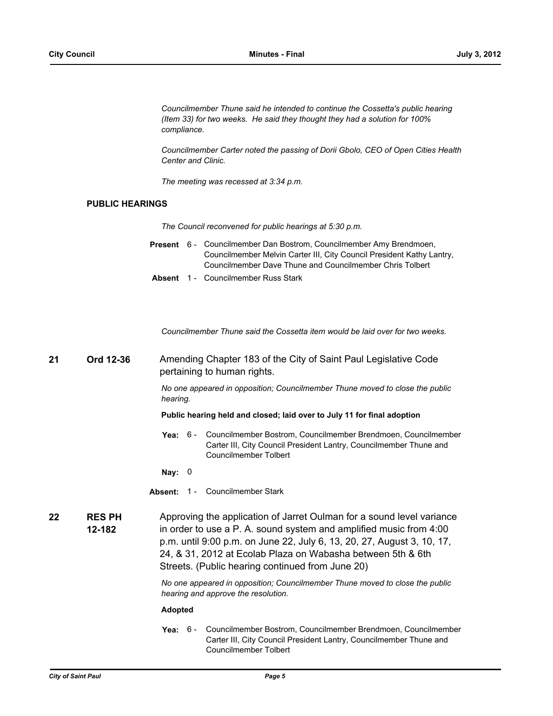*Councilmember Thune said he intended to continue the Cossetta's public hearing (Item 33) for two weeks. He said they thought they had a solution for 100% compliance.*

*Councilmember Carter noted the passing of Dorii Gbolo, CEO of Open Cities Health Center and Clinic.*

*The meeting was recessed at 3:34 p.m.*

# **PUBLIC HEARINGS**

*The Council reconvened for public hearings at 5:30 p.m.*

- Present 6 Councilmember Dan Bostrom, Councilmember Amy Brendmoen, Councilmember Melvin Carter III, City Council President Kathy Lantry, Councilmember Dave Thune and Councilmember Chris Tolbert
- **Absent** 1 Councilmember Russ Stark

*Councilmember Thune said the Cossetta item would be laid over for two weeks.*

# **21 Ord 12-36** Amending Chapter 183 of the City of Saint Paul Legislative Code pertaining to human rights.

*No one appeared in opposition; Councilmember Thune moved to close the public hearing.*

**Public hearing held and closed; laid over to July 11 for final adoption**

Yea: 6 - Councilmember Bostrom, Councilmember Brendmoen, Councilmember Carter III, City Council President Lantry, Councilmember Thune and Councilmember Tolbert

**Nay:** 0

- **Absent:** 1 Councilmember Stark
- **RES PH 12-182 22 RES PH** Approving the application of Jarret Oulman for a sound level variance in order to use a P. A. sound system and amplified music from 4:00 p.m. until 9:00 p.m. on June 22, July 6, 13, 20, 27, August 3, 10, 17, 24, & 31, 2012 at Ecolab Plaza on Wabasha between 5th & 6th Streets. (Public hearing continued from June 20)

*No one appeared in opposition; Councilmember Thune moved to close the public hearing and approve the resolution.*

### **Adopted**

**Yea:** Councilmember Bostrom, Councilmember Brendmoen, Councilmember Carter III, City Council President Lantry, Councilmember Thune and Councilmember Tolbert Yea:  $6 -$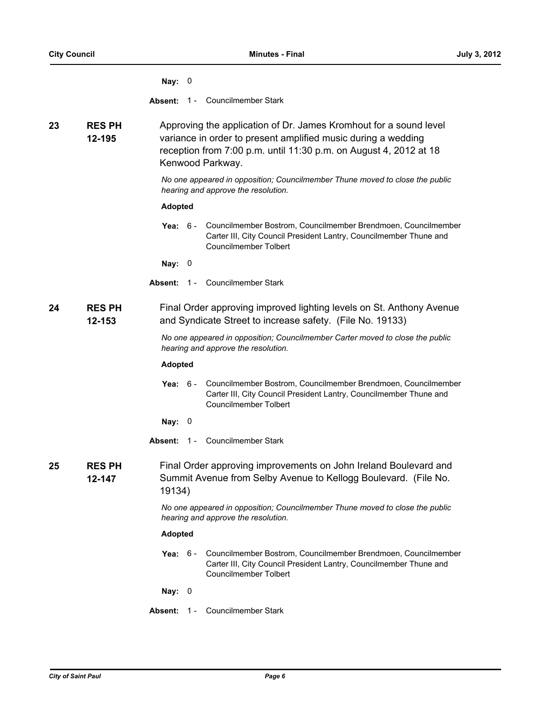|    |                         | Nay: $0$                                                                                                                                                                                                                    |
|----|-------------------------|-----------------------------------------------------------------------------------------------------------------------------------------------------------------------------------------------------------------------------|
|    |                         | 1 - Councilmember Stark<br>Absent:                                                                                                                                                                                          |
| 23 | <b>RES PH</b><br>12-195 | Approving the application of Dr. James Kromhout for a sound level<br>variance in order to present amplified music during a wedding<br>reception from 7:00 p.m. until 11:30 p.m. on August 4, 2012 at 18<br>Kenwood Parkway. |
|    |                         | No one appeared in opposition; Councilmember Thune moved to close the public<br>hearing and approve the resolution.                                                                                                         |
|    |                         | <b>Adopted</b>                                                                                                                                                                                                              |
|    |                         | Councilmember Bostrom, Councilmember Brendmoen, Councilmember<br>Yea: $6-$<br>Carter III, City Council President Lantry, Councilmember Thune and<br><b>Councilmember Tolbert</b>                                            |
|    |                         | Nay: $0$                                                                                                                                                                                                                    |
|    |                         | <b>Councilmember Stark</b><br>$1 -$<br>Absent:                                                                                                                                                                              |
| 24 | <b>RES PH</b><br>12-153 | Final Order approving improved lighting levels on St. Anthony Avenue<br>and Syndicate Street to increase safety. (File No. 19133)                                                                                           |
|    |                         | No one appeared in opposition; Councilmember Carter moved to close the public<br>hearing and approve the resolution.                                                                                                        |
|    |                         | <b>Adopted</b>                                                                                                                                                                                                              |
|    |                         | Councilmember Bostrom, Councilmember Brendmoen, Councilmember<br>Yea: $6-$<br>Carter III, City Council President Lantry, Councilmember Thune and<br>Councilmember Tolbert                                                   |
|    |                         | Nay: $0$                                                                                                                                                                                                                    |
|    |                         | 1 - Councilmember Stark<br>Absent:                                                                                                                                                                                          |
| 25 | <b>RES PH</b><br>12-147 | Final Order approving improvements on John Ireland Boulevard and<br>Summit Avenue from Selby Avenue to Kellogg Boulevard. (File No.<br>19134)                                                                               |
|    |                         | No one appeared in opposition; Councilmember Thune moved to close the public<br>hearing and approve the resolution.                                                                                                         |
|    |                         | <b>Adopted</b>                                                                                                                                                                                                              |
|    |                         | Councilmember Bostrom, Councilmember Brendmoen, Councilmember<br>Yea: $6 -$<br>Carter III, City Council President Lantry, Councilmember Thune and<br>Councilmember Tolbert                                                  |
|    |                         | Nay: $0$                                                                                                                                                                                                                    |
|    |                         | Absent: 1 - Councilmember Stark                                                                                                                                                                                             |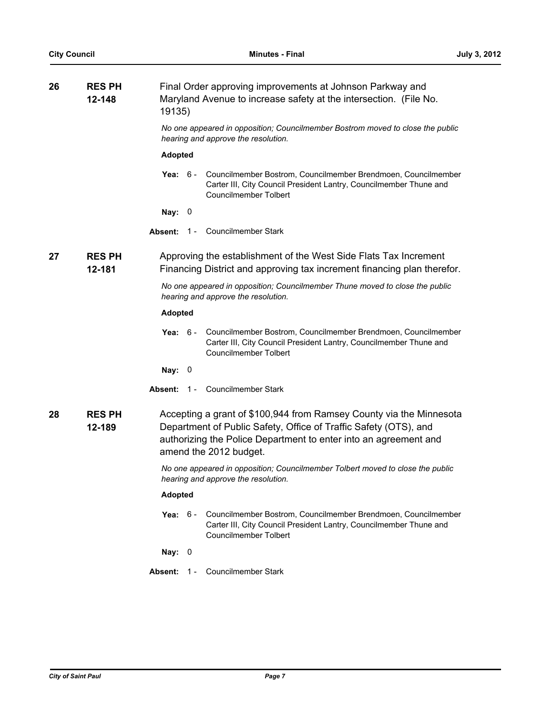| 26 | <b>RES PH</b><br>12-148 | Final Order approving improvements at Johnson Parkway and<br>Maryland Avenue to increase safety at the intersection. (File No.<br>19135)                                                                                              |  |  |
|----|-------------------------|---------------------------------------------------------------------------------------------------------------------------------------------------------------------------------------------------------------------------------------|--|--|
|    |                         | No one appeared in opposition; Councilmember Bostrom moved to close the public<br>hearing and approve the resolution.                                                                                                                 |  |  |
|    |                         | <b>Adopted</b>                                                                                                                                                                                                                        |  |  |
|    |                         | Yea: 6 - Councilmember Bostrom, Councilmember Brendmoen, Councilmember<br>Carter III, City Council President Lantry, Councilmember Thune and<br>Councilmember Tolbert                                                                 |  |  |
|    |                         | Nay:<br>$\overline{\phantom{0}}$                                                                                                                                                                                                      |  |  |
|    |                         | Councilmember Stark<br>Absent:<br>$1 -$                                                                                                                                                                                               |  |  |
| 27 | <b>RES PH</b><br>12-181 | Approving the establishment of the West Side Flats Tax Increment<br>Financing District and approving tax increment financing plan therefor.                                                                                           |  |  |
|    |                         | No one appeared in opposition; Councilmember Thune moved to close the public<br>hearing and approve the resolution.                                                                                                                   |  |  |
|    |                         | <b>Adopted</b>                                                                                                                                                                                                                        |  |  |
|    |                         | Councilmember Bostrom, Councilmember Brendmoen, Councilmember<br><b>Yea:</b> 6 -<br>Carter III, City Council President Lantry, Councilmember Thune and<br>Councilmember Tolbert                                                       |  |  |
|    |                         | Nay: $0$                                                                                                                                                                                                                              |  |  |
|    |                         | Absent: 1 - Councilmember Stark                                                                                                                                                                                                       |  |  |
| 28 | <b>RES PH</b><br>12-189 | Accepting a grant of \$100,944 from Ramsey County via the Minnesota<br>Department of Public Safety, Office of Traffic Safety (OTS), and<br>authorizing the Police Department to enter into an agreement and<br>amend the 2012 budget. |  |  |
|    |                         | No one appeared in opposition; Councilmember Tolbert moved to close the public<br>hearing and approve the resolution.                                                                                                                 |  |  |
|    |                         | <b>Adopted</b>                                                                                                                                                                                                                        |  |  |
|    |                         | Yea: $6 -$<br>Councilmember Bostrom, Councilmember Brendmoen, Councilmember<br>Carter III, City Council President Lantry, Councilmember Thune and<br><b>Councilmember Tolbert</b>                                                     |  |  |
|    |                         | Nay: $0$                                                                                                                                                                                                                              |  |  |
|    |                         | Councilmember Stark<br>Absent:<br>$1 -$                                                                                                                                                                                               |  |  |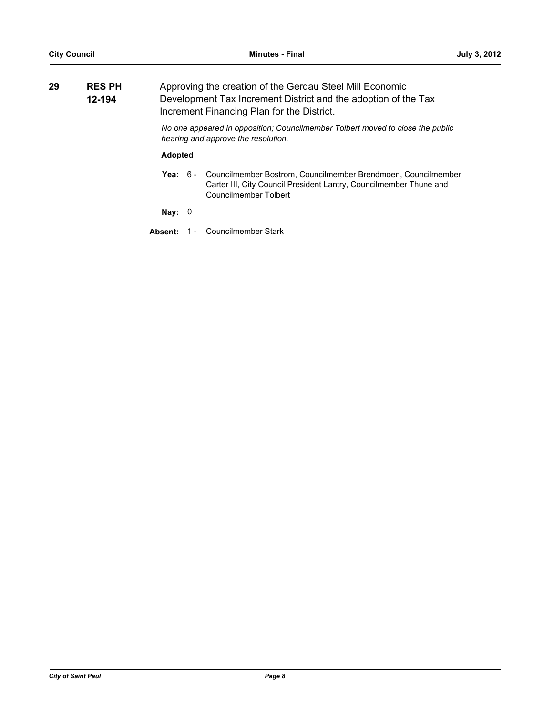| 29 | <b>RES PH</b><br>12-194 |                | Approving the creation of the Gerdau Steel Mill Economic<br>Development Tax Increment District and the adoption of the Tax<br>Increment Financing Plan for the District. |                                                                                                                                                              |  |
|----|-------------------------|----------------|--------------------------------------------------------------------------------------------------------------------------------------------------------------------------|--------------------------------------------------------------------------------------------------------------------------------------------------------------|--|
|    |                         |                |                                                                                                                                                                          | No one appeared in opposition: Councilmember Tolbert moved to close the public<br>hearing and approve the resolution.                                        |  |
|    |                         | <b>Adopted</b> |                                                                                                                                                                          |                                                                                                                                                              |  |
|    |                         | Yea: $6-$      |                                                                                                                                                                          | Councilmember Bostrom, Councilmember Brendmoen, Councilmember<br>Carter III, City Council President Lantry, Councilmember Thune and<br>Councilmember Tolbert |  |
|    |                         | Nay:           |                                                                                                                                                                          |                                                                                                                                                              |  |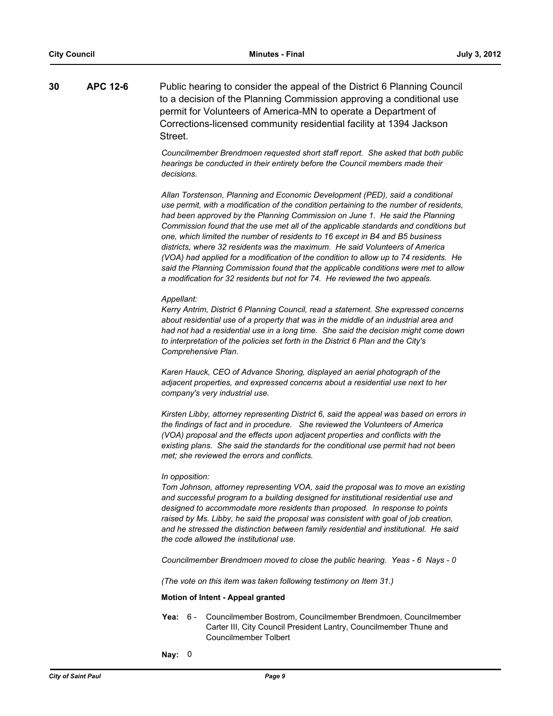**30 APC 12-6** Public hearing to consider the appeal of the District 6 Planning Council to a decision of the Planning Commission approving a conditional use permit for Volunteers of America-MN to operate a Department of Corrections-licensed community residential facility at 1394 Jackson Street.

> *Councilmember Brendmoen requested short staff report. She asked that both public hearings be conducted in their entirety before the Council members made their decisions.*

*Allan Torstenson, Planning and Economic Development (PED), said a conditional use permit, with a modification of the condition pertaining to the number of residents, had been approved by the Planning Commission on June 1. He said the Planning Commission found that the use met all of the applicable standards and conditions but one, which limited the number of residents to 16 except in B4 and B5 business districts, where 32 residents was the maximum. He said Volunteers of America (VOA) had applied for a modification of the condition to allow up to 74 residents. He said the Planning Commission found that the applicable conditions were met to allow a modification for 32 residents but not for 74. He reviewed the two appeals.*

#### *Appellant:*

*Kerry Antrim, District 6 Planning Council, read a statement. She expressed concerns about residential use of a property that was in the middle of an industrial area and had not had a residential use in a long time. She said the decision might come down to interpretation of the policies set forth in the District 6 Plan and the City's Comprehensive Plan.*

*Karen Hauck, CEO of Advance Shoring, displayed an aerial photograph of the adjacent properties, and expressed concerns about a residential use next to her company's very industrial use.*

*Kirsten Libby, attorney representing District 6, said the appeal was based on errors in the findings of fact and in procedure. She reviewed the Volunteers of America (VOA) proposal and the effects upon adjacent properties and conflicts with the existing plans. She said the standards for the conditional use permit had not been met; she reviewed the errors and conflicts.*

#### *In opposition:*

*Tom Johnson, attorney representing VOA, said the proposal was to move an existing and successful program to a building designed for institutional residential use and designed to accommodate more residents than proposed. In response to points raised by Ms. Libby, he said the proposal was consistent with goal of job creation, and he stressed the distinction between family residential and institutional. He said the code allowed the institutional use.*

*Councilmember Brendmoen moved to close the public hearing. Yeas - 6 Nays - 0*

*(The vote on this item was taken following testimony on Item 31.)*

### **Motion of Intent - Appeal granted**

- Yea: 6 Councilmember Bostrom, Councilmember Brendmoen, Councilmember Carter III, City Council President Lantry, Councilmember Thune and Councilmember Tolbert
- **Nay:** 0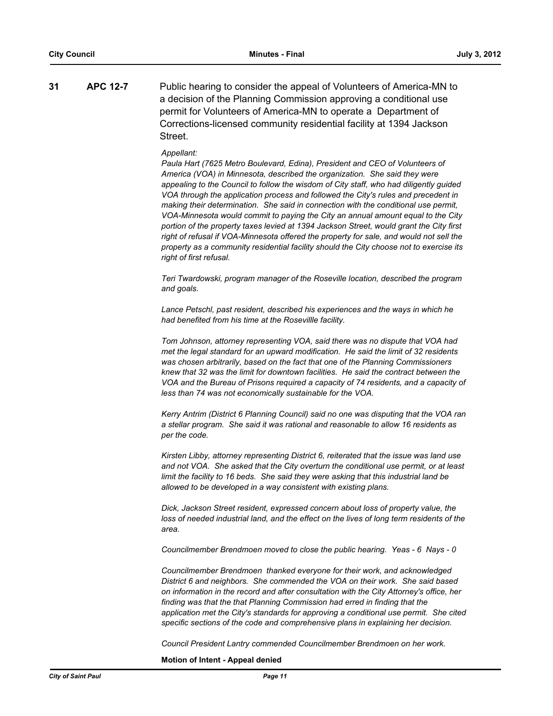**31 APC 12-7** Public hearing to consider the appeal of Volunteers of America-MN to a decision of the Planning Commission approving a conditional use permit for Volunteers of America-MN to operate a Department of Corrections-licensed community residential facility at 1394 Jackson Street.

#### *Appellant:*

*Paula Hart (7625 Metro Boulevard, Edina), President and CEO of Volunteers of America (VOA) in Minnesota, described the organization. She said they were appealing to the Council to follow the wisdom of City staff, who had diligently guided VOA through the application process and followed the City's rules and precedent in making their determination. She said in connection with the conditional use permit, VOA-Minnesota would commit to paying the City an annual amount equal to the City portion of the property taxes levied at 1394 Jackson Street, would grant the City first right of refusal if VOA-Minnesota offered the property for sale, and would not sell the property as a community residential facility should the City choose not to exercise its right of first refusal.*

*Teri Twardowski, program manager of the Roseville location, described the program and goals.*

*Lance Petschl, past resident, described his experiences and the ways in which he had benefited from his time at the Rosevillle facility.*

*Tom Johnson, attorney representing VOA, said there was no dispute that VOA had met the legal standard for an upward modification. He said the limit of 32 residents was chosen arbitrarily, based on the fact that one of the Planning Commissioners knew that 32 was the limit for downtown facilities. He said the contract between the VOA and the Bureau of Prisons required a capacity of 74 residents, and a capacity of less than 74 was not economically sustainable for the VOA.*

*Kerry Antrim (District 6 Planning Council) said no one was disputing that the VOA ran a stellar program. She said it was rational and reasonable to allow 16 residents as per the code.*

*Kirsten Libby, attorney representing District 6, reiterated that the issue was land use and not VOA. She asked that the City overturn the conditional use permit, or at least limit the facility to 16 beds. She said they were asking that this industrial land be allowed to be developed in a way consistent with existing plans.*

*Dick, Jackson Street resident, expressed concern about loss of property value, the loss of needed industrial land, and the effect on the lives of long term residents of the area.*

*Councilmember Brendmoen moved to close the public hearing. Yeas - 6 Nays - 0*

*Councilmember Brendmoen thanked everyone for their work, and acknowledged District 6 and neighbors. She commended the VOA on their work. She said based on information in the record and after consultation with the City Attorney's office, her finding was that the that Planning Commission had erred in finding that the application met the City's standards for approving a conditional use permit. She cited specific sections of the code and comprehensive plans in explaining her decision.*

*Council President Lantry commended Councilmember Brendmoen on her work.*

**Motion of Intent - Appeal denied**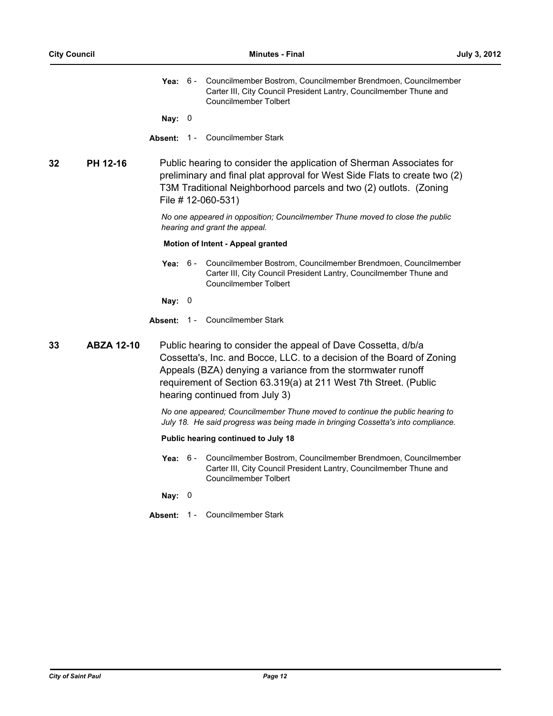|    |                   |          |                                                                                                                                                                                                                                              | Yea: 6 - Councilmember Bostrom, Councilmember Brendmoen, Councilmember<br>Carter III, City Council President Lantry, Councilmember Thune and<br>Councilmember Tolbert                                                                                                                                       |
|----|-------------------|----------|----------------------------------------------------------------------------------------------------------------------------------------------------------------------------------------------------------------------------------------------|-------------------------------------------------------------------------------------------------------------------------------------------------------------------------------------------------------------------------------------------------------------------------------------------------------------|
|    |                   | Nay: $0$ |                                                                                                                                                                                                                                              |                                                                                                                                                                                                                                                                                                             |
|    |                   | Absent:  |                                                                                                                                                                                                                                              | 1 - Councilmember Stark                                                                                                                                                                                                                                                                                     |
| 32 | PH 12-16          |          | Public hearing to consider the application of Sherman Associates for<br>preliminary and final plat approval for West Side Flats to create two (2)<br>T3M Traditional Neighborhood parcels and two (2) outlots. (Zoning<br>File # 12-060-531) |                                                                                                                                                                                                                                                                                                             |
|    |                   |          |                                                                                                                                                                                                                                              | No one appeared in opposition; Councilmember Thune moved to close the public<br>hearing and grant the appeal.                                                                                                                                                                                               |
|    |                   |          |                                                                                                                                                                                                                                              | <b>Motion of Intent - Appeal granted</b>                                                                                                                                                                                                                                                                    |
|    |                   |          |                                                                                                                                                                                                                                              | Yea: 6 - Councilmember Bostrom, Councilmember Brendmoen, Councilmember<br>Carter III, City Council President Lantry, Councilmember Thune and<br>Councilmember Tolbert                                                                                                                                       |
|    |                   | Nay: $0$ |                                                                                                                                                                                                                                              |                                                                                                                                                                                                                                                                                                             |
|    |                   |          |                                                                                                                                                                                                                                              | Absent: 1 - Councilmember Stark                                                                                                                                                                                                                                                                             |
| 33 | <b>ABZA 12-10</b> |          |                                                                                                                                                                                                                                              | Public hearing to consider the appeal of Dave Cossetta, d/b/a<br>Cossetta's, Inc. and Bocce, LLC. to a decision of the Board of Zoning<br>Appeals (BZA) denying a variance from the stormwater runoff<br>requirement of Section 63.319(a) at 211 West 7th Street. (Public<br>hearing continued from July 3) |
|    |                   |          |                                                                                                                                                                                                                                              | No one appeared; Councilmember Thune moved to continue the public hearing to<br>July 18. He said progress was being made in bringing Cossetta's into compliance.                                                                                                                                            |
|    |                   |          |                                                                                                                                                                                                                                              | Public hearing continued to July 18                                                                                                                                                                                                                                                                         |
|    |                   |          |                                                                                                                                                                                                                                              | Yea: 6 - Councilmember Bostrom, Councilmember Brendmoen, Councilmember<br>Carter III, City Council President Lantry, Councilmember Thune and<br><b>Councilmember Tolbert</b>                                                                                                                                |
|    |                   | Nay: $0$ |                                                                                                                                                                                                                                              |                                                                                                                                                                                                                                                                                                             |
|    |                   |          |                                                                                                                                                                                                                                              | Absent: 1 - Councilmember Stark                                                                                                                                                                                                                                                                             |
|    |                   |          |                                                                                                                                                                                                                                              |                                                                                                                                                                                                                                                                                                             |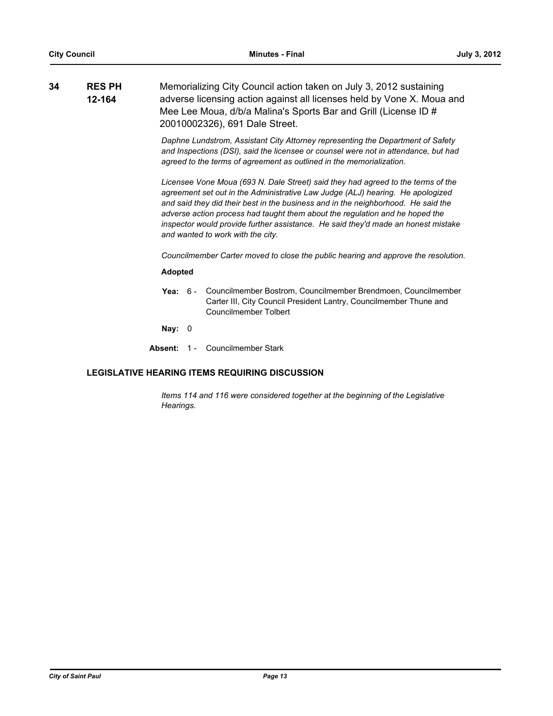| 34 | <b>RES PH</b> | Memorializing City Council action taken on July 3, 2012 sustaining     |
|----|---------------|------------------------------------------------------------------------|
|    | 12-164        | adverse licensing action against all licenses held by Vone X. Moua and |
|    |               | Mee Lee Moua, d/b/a Malina's Sports Bar and Grill (License ID #        |
|    |               | 20010002326), 691 Dale Street.                                         |

*Daphne Lundstrom, Assistant City Attorney representing the Department of Safety and Inspections (DSI), said the licensee or counsel were not in attendance, but had agreed to the terms of agreement as outlined in the memorialization.*

*Licensee Vone Moua (693 N. Dale Street) said they had agreed to the terms of the agreement set out in the Administrative Law Judge (ALJ) hearing. He apologized and said they did their best in the business and in the neighborhood. He said the adverse action process had taught them about the regulation and he hoped the inspector would provide further assistance. He said they'd made an honest mistake and wanted to work with the city.*

*Councilmember Carter moved to close the public hearing and approve the resolution.*

## **Adopted**

**Yea:** Councilmember Bostrom, Councilmember Brendmoen, Councilmember Carter III, City Council President Lantry, Councilmember Thune and Councilmember Tolbert Yea:  $6 -$ 

**Nay:** 0

**Absent:** 1 - Councilmember Stark

# **LEGISLATIVE HEARING ITEMS REQUIRING DISCUSSION**

*Items 114 and 116 were considered together at the beginning of the Legislative Hearings.*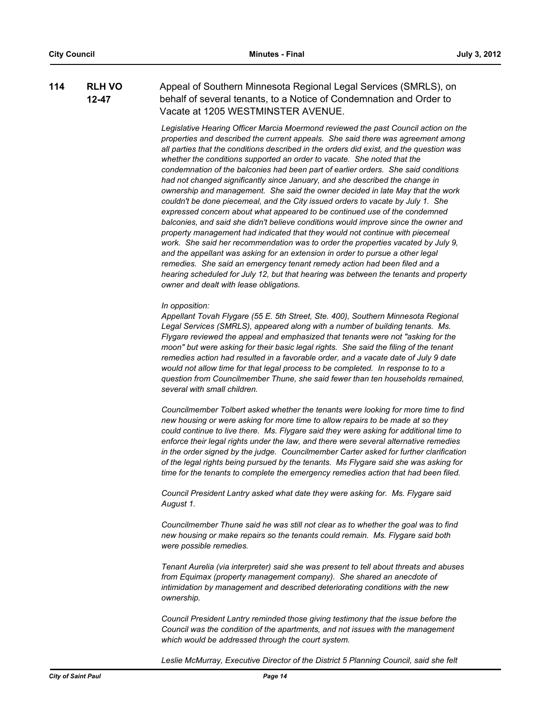#### **RLH VO 12-47 114** Appeal of Southern Minnesota Regional Legal Services (SMRLS), on behalf of several tenants, to a Notice of Condemnation and Order to Vacate at 1205 WESTMINSTER AVENUE.

*Legislative Hearing Officer Marcia Moermond reviewed the past Council action on the properties and described the current appeals. She said there was agreement among all parties that the conditions described in the orders did exist, and the question was whether the conditions supported an order to vacate. She noted that the condemnation of the balconies had been part of earlier orders. She said conditions had not changed significantly since January, and she described the change in ownership and management. She said the owner decided in late May that the work couldn't be done piecemeal, and the City issued orders to vacate by July 1. She expressed concern about what appeared to be continued use of the condemned balconies, and said she didn't believe conditions would improve since the owner and property management had indicated that they would not continue with piecemeal*  work. She said her recommendation was to order the properties vacated by July 9, *and the appellant was asking for an extension in order to pursue a other legal remedies. She said an emergency tenant remedy action had been filed and a hearing scheduled for July 12, but that hearing was between the tenants and property owner and dealt with lease obligations.*

#### *In opposition:*

*Appellant Tovah Flygare (55 E. 5th Street, Ste. 400), Southern Minnesota Regional Legal Services (SMRLS), appeared along with a number of building tenants. Ms. Flygare reviewed the appeal and emphasized that tenants were not "asking for the moon" but were asking for their basic legal rights. She said the filing of the tenant remedies action had resulted in a favorable order, and a vacate date of July 9 date would not allow time for that legal process to be completed. In response to to a question from Councilmember Thune, she said fewer than ten households remained, several with small children.*

*Councilmember Tolbert asked whether the tenants were looking for more time to find new housing or were asking for more time to allow repairs to be made at so they could continue to live there. Ms. Flygare said they were asking for additional time to enforce their legal rights under the law, and there were several alternative remedies in the order signed by the judge. Councilmember Carter asked for further clarification of the legal rights being pursued by the tenants. Ms Flygare said she was asking for time for the tenants to complete the emergency remedies action that had been filed.*

*Council President Lantry asked what date they were asking for. Ms. Flygare said August 1.*

*Councilmember Thune said he was still not clear as to whether the goal was to find new housing or make repairs so the tenants could remain. Ms. Flygare said both were possible remedies.*

*Tenant Aurelia (via interpreter) said she was present to tell about threats and abuses from Equimax (property management company). She shared an anecdote of intimidation by management and described deteriorating conditions with the new ownership.*

*Council President Lantry reminded those giving testimony that the issue before the Council was the condition of the apartments, and not issues with the management which would be addressed through the court system.*

*Leslie McMurray, Executive Director of the District 5 Planning Council, said she felt*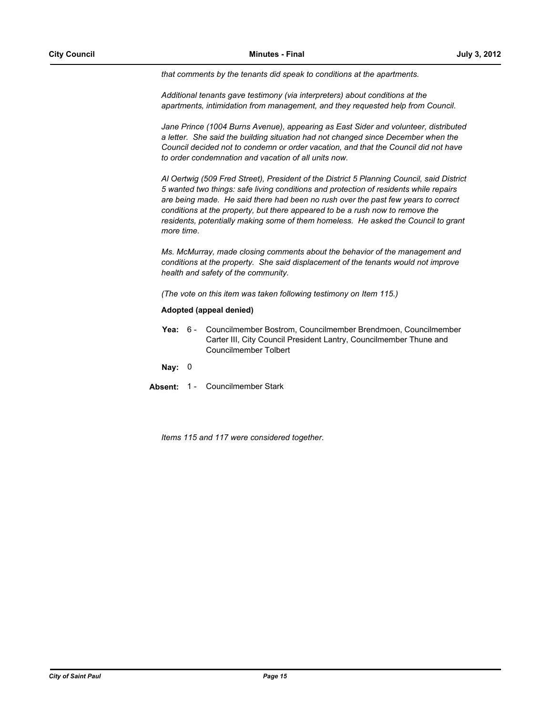*that comments by the tenants did speak to conditions at the apartments.*

*Additional tenants gave testimony (via interpreters) about conditions at the apartments, intimidation from management, and they requested help from Council.*

*Jane Prince (1004 Burns Avenue), appearing as East Sider and volunteer, distributed a letter. She said the building situation had not changed since December when the Council decided not to condemn or order vacation, and that the Council did not have to order condemnation and vacation of all units now.*

*Al Oertwig (509 Fred Street), President of the District 5 Planning Council, said District 5 wanted two things: safe living conditions and protection of residents while repairs are being made. He said there had been no rush over the past few years to correct conditions at the property, but there appeared to be a rush now to remove the residents, potentially making some of them homeless. He asked the Council to grant more time.* 

*Ms. McMurray, made closing comments about the behavior of the management and conditions at the property. She said displacement of the tenants would not improve health and safety of the community.*

*(The vote on this item was taken following testimony on Item 115.)*

## **Adopted (appeal denied)**

Yea: 6 - Councilmember Bostrom, Councilmember Brendmoen, Councilmember Carter III, City Council President Lantry, Councilmember Thune and Councilmember Tolbert

**Nay:** 0

**Absent:** 1 - Councilmember Stark

*Items 115 and 117 were considered together.*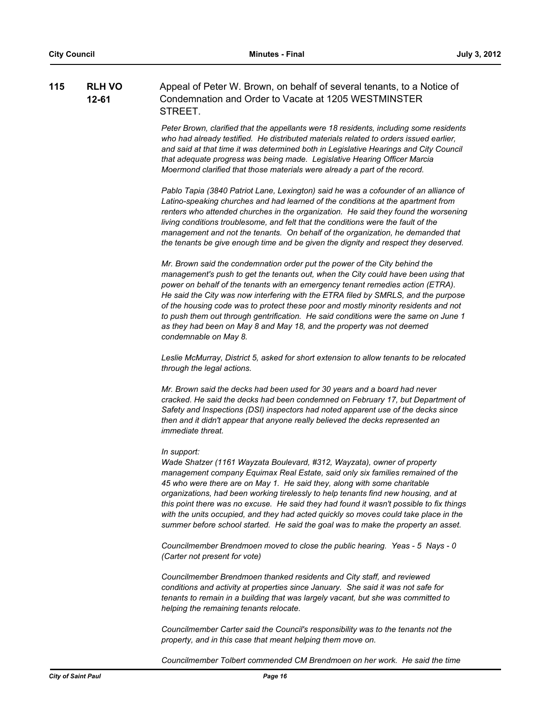#### **RLH VO 12-61 115 RLH VO** Appeal of Peter W. Brown, on behalf of several tenants, to a Notice of Condemnation and Order to Vacate at 1205 WESTMINSTER **STREET**

*Peter Brown, clarified that the appellants were 18 residents, including some residents who had already testified. He distributed materials related to orders issued earlier, and said at that time it was determined both in Legislative Hearings and City Council that adequate progress was being made. Legislative Hearing Officer Marcia Moermond clarified that those materials were already a part of the record.*

*Pablo Tapia (3840 Patriot Lane, Lexington) said he was a cofounder of an alliance of Latino-speaking churches and had learned of the conditions at the apartment from renters who attended churches in the organization. He said they found the worsening living conditions troublesome, and felt that the conditions were the fault of the management and not the tenants. On behalf of the organization, he demanded that the tenants be give enough time and be given the dignity and respect they deserved.*

*Mr. Brown said the condemnation order put the power of the City behind the management's push to get the tenants out, when the City could have been using that power on behalf of the tenants with an emergency tenant remedies action (ETRA). He said the City was now interfering with the ETRA filed by SMRLS, and the purpose of the housing code was to protect these poor and mostly minority residents and not to push them out through gentrification. He said conditions were the same on June 1 as they had been on May 8 and May 18, and the property was not deemed condemnable on May 8.* 

*Leslie McMurray, District 5, asked for short extension to allow tenants to be relocated through the legal actions.*

*Mr. Brown said the decks had been used for 30 years and a board had never cracked. He said the decks had been condemned on February 17, but Department of Safety and Inspections (DSI) inspectors had noted apparent use of the decks since then and it didn't appear that anyone really believed the decks represented an immediate threat.*

#### *In support:*

*Wade Shatzer (1161 Wayzata Boulevard, #312, Wayzata), owner of property management company Equimax Real Estate, said only six families remained of the 45 who were there are on May 1. He said they, along with some charitable organizations, had been working tirelessly to help tenants find new housing, and at this point there was no excuse. He said they had found it wasn't possible to fix things with the units occupied, and they had acted quickly so moves could take place in the summer before school started. He said the goal was to make the property an asset.*

*Councilmember Brendmoen moved to close the public hearing. Yeas - 5 Nays - 0 (Carter not present for vote)*

*Councilmember Brendmoen thanked residents and City staff, and reviewed conditions and activity at properties since January. She said it was not safe for tenants to remain in a building that was largely vacant, but she was committed to helping the remaining tenants relocate.*

*Councilmember Carter said the Council's responsibility was to the tenants not the property, and in this case that meant helping them move on.*

*Councilmember Tolbert commended CM Brendmoen on her work. He said the time*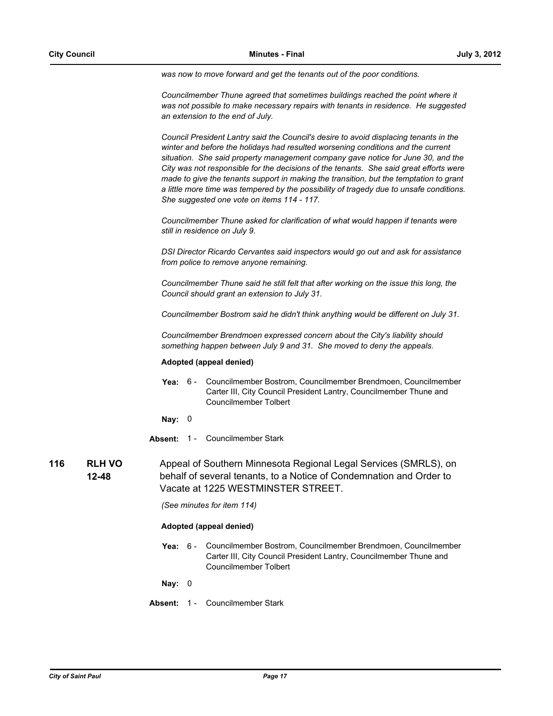*was now to move forward and get the tenants out of the poor conditions.*

*Councilmember Thune agreed that sometimes buildings reached the point where it was not possible to make necessary repairs with tenants in residence. He suggested an extension to the end of July.*

*Council President Lantry said the Council's desire to avoid displacing tenants in the*  winter and before the holidays had resulted worsening conditions and the current *situation. She said property management company gave notice for June 30, and the City was not responsible for the decisions of the tenants. She said great efforts were made to give the tenants support in making the transition, but the temptation to grant a little more time was tempered by the possibility of tragedy due to unsafe conditions. She suggested one vote on items 114 - 117.*

*Councilmember Thune asked for clarification of what would happen if tenants were still in residence on July 9.*

*DSI Director Ricardo Cervantes said inspectors would go out and ask for assistance from police to remove anyone remaining.*

*Councilmember Thune said he still felt that after working on the issue this long, the Council should grant an extension to July 31.*

*Councilmember Bostrom said he didn't think anything would be different on July 31.*

*Councilmember Brendmoen expressed concern about the City's liability should something happen between July 9 and 31. She moved to deny the appeals.*

## **Adopted (appeal denied)**

Yea: 6 - Councilmember Bostrom, Councilmember Brendmoen, Councilmember Carter III, City Council President Lantry, Councilmember Thune and Councilmember Tolbert

**Nay:** 0

- **Absent:** 1 Councilmember Stark
- **RLH VO 12-48 116 RLH VO** Appeal of Southern Minnesota Regional Legal Services (SMRLS), on behalf of several tenants, to a Notice of Condemnation and Order to Vacate at 1225 WESTMINSTER STREET.

*(See minutes for item 114)*

## **Adopted (appeal denied)**

Yea: 6 - Councilmember Bostrom, Councilmember Brendmoen, Councilmember Carter III, City Council President Lantry, Councilmember Thune and Councilmember Tolbert

**Nay:** 0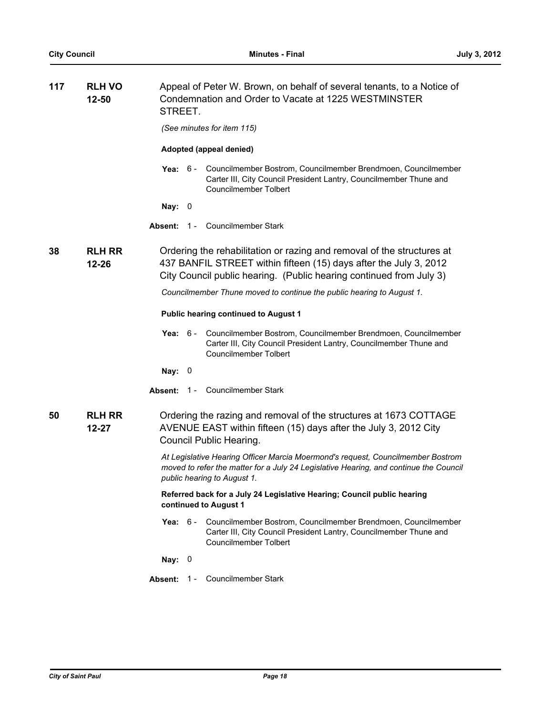| 117 | <b>RLH VO</b><br>12-50     | Appeal of Peter W. Brown, on behalf of several tenants, to a Notice of<br>Condemnation and Order to Vacate at 1225 WESTMINSTER<br>STREET. |                                                                                                                                                                                                                    |  |
|-----|----------------------------|-------------------------------------------------------------------------------------------------------------------------------------------|--------------------------------------------------------------------------------------------------------------------------------------------------------------------------------------------------------------------|--|
|     |                            | (See minutes for item 115)                                                                                                                |                                                                                                                                                                                                                    |  |
|     |                            | Adopted (appeal denied)                                                                                                                   |                                                                                                                                                                                                                    |  |
|     |                            |                                                                                                                                           | Yea: 6 - Councilmember Bostrom, Councilmember Brendmoen, Councilmember<br>Carter III, City Council President Lantry, Councilmember Thune and<br><b>Councilmember Tolbert</b>                                       |  |
|     |                            | Nay: $0$                                                                                                                                  |                                                                                                                                                                                                                    |  |
|     |                            | Absent: 1 - Councilmember Stark                                                                                                           |                                                                                                                                                                                                                    |  |
| 38  | <b>RLH RR</b><br>$12 - 26$ |                                                                                                                                           | Ordering the rehabilitation or razing and removal of the structures at<br>437 BANFIL STREET within fifteen (15) days after the July 3, 2012<br>City Council public hearing. (Public hearing continued from July 3) |  |
|     |                            |                                                                                                                                           | Councilmember Thune moved to continue the public hearing to August 1.                                                                                                                                              |  |
|     |                            |                                                                                                                                           | <b>Public hearing continued to August 1</b>                                                                                                                                                                        |  |
|     |                            | Yea: $6-$                                                                                                                                 | Councilmember Bostrom, Councilmember Brendmoen, Councilmember<br>Carter III, City Council President Lantry, Councilmember Thune and<br><b>Councilmember Tolbert</b>                                                |  |
|     |                            | Nay: $0$                                                                                                                                  |                                                                                                                                                                                                                    |  |
|     |                            | Absent: 1 - Councilmember Stark                                                                                                           |                                                                                                                                                                                                                    |  |
| 50  | <b>RLH RR</b><br>$12 - 27$ | Council Public Hearing.                                                                                                                   | Ordering the razing and removal of the structures at 1673 COTTAGE<br>AVENUE EAST within fifteen (15) days after the July 3, 2012 City                                                                              |  |
|     |                            | public hearing to August 1.                                                                                                               | At Legislative Hearing Officer Marcia Moermond's request, Councilmember Bostrom<br>moved to refer the matter for a July 24 Legislative Hearing, and continue the Council                                           |  |
|     |                            | continued to August 1                                                                                                                     | Referred back for a July 24 Legislative Hearing; Council public hearing                                                                                                                                            |  |
|     |                            |                                                                                                                                           | Yea: 6 - Councilmember Bostrom, Councilmember Brendmoen, Councilmember<br>Carter III, City Council President Lantry, Councilmember Thune and<br><b>Councilmember Tolbert</b>                                       |  |
|     |                            | Nay: $0$                                                                                                                                  |                                                                                                                                                                                                                    |  |
|     |                            | Absent: 1 - Councilmember Stark                                                                                                           |                                                                                                                                                                                                                    |  |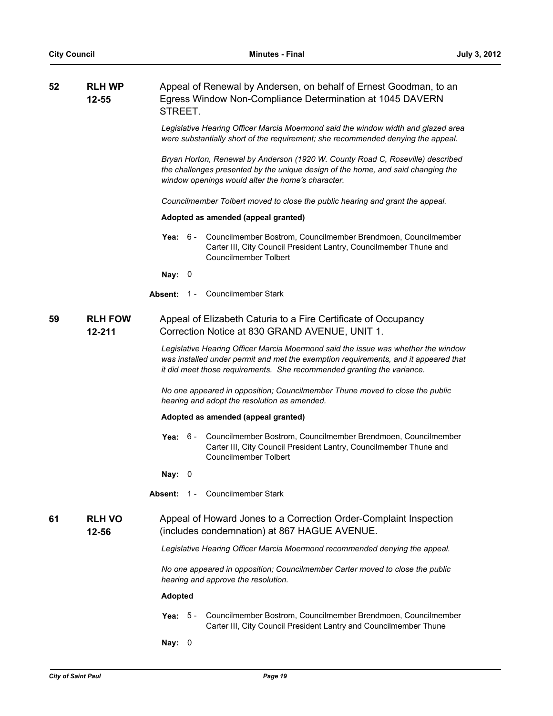| 52 | <b>RLH WP</b>            |                  |                                                                                                                                                                                                                                                    |
|----|--------------------------|------------------|----------------------------------------------------------------------------------------------------------------------------------------------------------------------------------------------------------------------------------------------------|
|    | $12 - 55$                | STREET.          | Appeal of Renewal by Andersen, on behalf of Ernest Goodman, to an<br>Egress Window Non-Compliance Determination at 1045 DAVERN                                                                                                                     |
|    |                          |                  | Legislative Hearing Officer Marcia Moermond said the window width and glazed area<br>were substantially short of the requirement; she recommended denying the appeal.                                                                              |
|    |                          |                  | Bryan Horton, Renewal by Anderson (1920 W. County Road C, Roseville) described<br>the challenges presented by the unique design of the home, and said changing the<br>window openings would alter the home's character.                            |
|    |                          |                  | Councilmember Tolbert moved to close the public hearing and grant the appeal.                                                                                                                                                                      |
|    |                          |                  | Adopted as amended (appeal granted)                                                                                                                                                                                                                |
|    |                          |                  | Yea: 6 - Councilmember Bostrom, Councilmember Brendmoen, Councilmember<br>Carter III, City Council President Lantry, Councilmember Thune and<br>Councilmember Tolbert                                                                              |
|    |                          | Nay: $0$         |                                                                                                                                                                                                                                                    |
|    |                          | Absent:<br>$1 -$ | Councilmember Stark                                                                                                                                                                                                                                |
| 59 | <b>RLH FOW</b><br>12-211 |                  | Appeal of Elizabeth Caturia to a Fire Certificate of Occupancy<br>Correction Notice at 830 GRAND AVENUE, UNIT 1.                                                                                                                                   |
|    |                          |                  | Legislative Hearing Officer Marcia Moermond said the issue was whether the window<br>was installed under permit and met the exemption requirements, and it appeared that<br>it did meet those requirements. She recommended granting the variance. |
|    |                          |                  | No one appeared in opposition; Councilmember Thune moved to close the public<br>hearing and adopt the resolution as amended.                                                                                                                       |
|    |                          |                  | Adopted as amended (appeal granted)                                                                                                                                                                                                                |
|    |                          |                  | Yea: 6 - Councilmember Bostrom, Councilmember Brendmoen, Councilmember<br>Carter III, City Council President Lantry, Councilmember Thune and<br>Councilmember Tolbert                                                                              |
|    |                          | Nay: $0$         |                                                                                                                                                                                                                                                    |
|    |                          | Absent:          | 1 - Councilmember Stark                                                                                                                                                                                                                            |
| 61 | <b>RLH VO</b><br>12-56   |                  | Appeal of Howard Jones to a Correction Order-Complaint Inspection<br>(includes condemnation) at 867 HAGUE AVENUE.                                                                                                                                  |
|    |                          |                  | Legislative Hearing Officer Marcia Moermond recommended denying the appeal.                                                                                                                                                                        |
|    |                          |                  | No one appeared in opposition; Councilmember Carter moved to close the public<br>hearing and approve the resolution.                                                                                                                               |
|    |                          | <b>Adopted</b>   |                                                                                                                                                                                                                                                    |
|    |                          | - 5 -<br>Yea:    | Councilmember Bostrom, Councilmember Brendmoen, Councilmember<br>Carter III, City Council President Lantry and Councilmember Thune                                                                                                                 |
|    |                          |                  |                                                                                                                                                                                                                                                    |

**Nay:** 0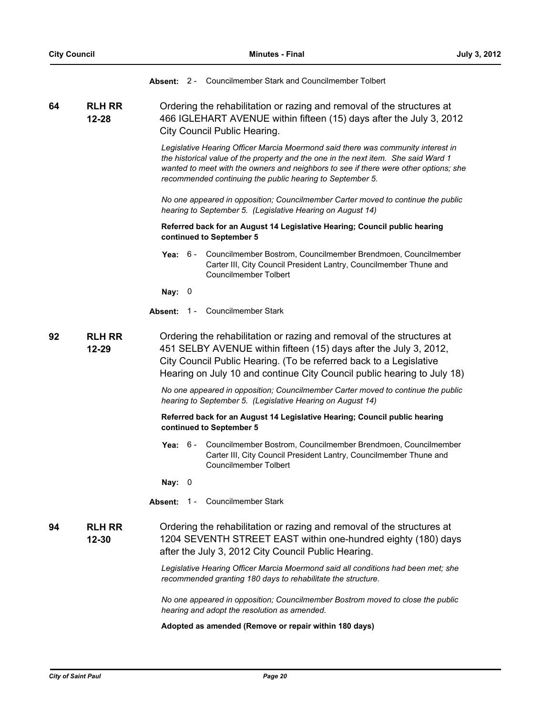|    |                            | Absent: 2 - Councilmember Stark and Councilmember Tolbert                                                                                                                                                                                                                                                                   |
|----|----------------------------|-----------------------------------------------------------------------------------------------------------------------------------------------------------------------------------------------------------------------------------------------------------------------------------------------------------------------------|
| 64 | <b>RLH RR</b><br>12-28     | Ordering the rehabilitation or razing and removal of the structures at<br>466 IGLEHART AVENUE within fifteen (15) days after the July 3, 2012<br>City Council Public Hearing.                                                                                                                                               |
|    |                            | Legislative Hearing Officer Marcia Moermond said there was community interest in<br>the historical value of the property and the one in the next item. She said Ward 1<br>wanted to meet with the owners and neighbors to see if there were other options; she<br>recommended continuing the public hearing to September 5. |
|    |                            | No one appeared in opposition; Councilmember Carter moved to continue the public<br>hearing to September 5. (Legislative Hearing on August 14)                                                                                                                                                                              |
|    |                            | Referred back for an August 14 Legislative Hearing; Council public hearing<br>continued to September 5                                                                                                                                                                                                                      |
|    |                            | Yea: 6 - Councilmember Bostrom, Councilmember Brendmoen, Councilmember<br>Carter III, City Council President Lantry, Councilmember Thune and<br><b>Councilmember Tolbert</b>                                                                                                                                                |
|    |                            | Nay: $0$                                                                                                                                                                                                                                                                                                                    |
|    |                            | <b>Absent: 1 - Councilmember Stark</b>                                                                                                                                                                                                                                                                                      |
| 92 | <b>RLH RR</b><br>$12 - 29$ | Ordering the rehabilitation or razing and removal of the structures at<br>451 SELBY AVENUE within fifteen (15) days after the July 3, 2012,<br>City Council Public Hearing. (To be referred back to a Legislative<br>Hearing on July 10 and continue City Council public hearing to July 18)                                |
|    |                            | No one appeared in opposition; Councilmember Carter moved to continue the public<br>hearing to September 5. (Legislative Hearing on August 14)                                                                                                                                                                              |
|    |                            | Referred back for an August 14 Legislative Hearing; Council public hearing<br>continued to September 5                                                                                                                                                                                                                      |
|    |                            | Yea: 6 - Councilmember Bostrom, Councilmember Brendmoen, Councilmember<br>Carter III, City Council President Lantry, Councilmember Thune and<br><b>Councilmember Tolbert</b>                                                                                                                                                |
|    |                            | Nay: $0$                                                                                                                                                                                                                                                                                                                    |
|    |                            | Absent: 1 - Councilmember Stark                                                                                                                                                                                                                                                                                             |
| 94 | <b>RLH RR</b><br>12-30     | Ordering the rehabilitation or razing and removal of the structures at<br>1204 SEVENTH STREET EAST within one-hundred eighty (180) days<br>after the July 3, 2012 City Council Public Hearing.                                                                                                                              |
|    |                            | Legislative Hearing Officer Marcia Moermond said all conditions had been met; she<br>recommended granting 180 days to rehabilitate the structure.                                                                                                                                                                           |
|    |                            | No one appeared in opposition; Councilmember Bostrom moved to close the public<br>hearing and adopt the resolution as amended.                                                                                                                                                                                              |
|    |                            | Adopted as amended (Remove or repair within 180 days)                                                                                                                                                                                                                                                                       |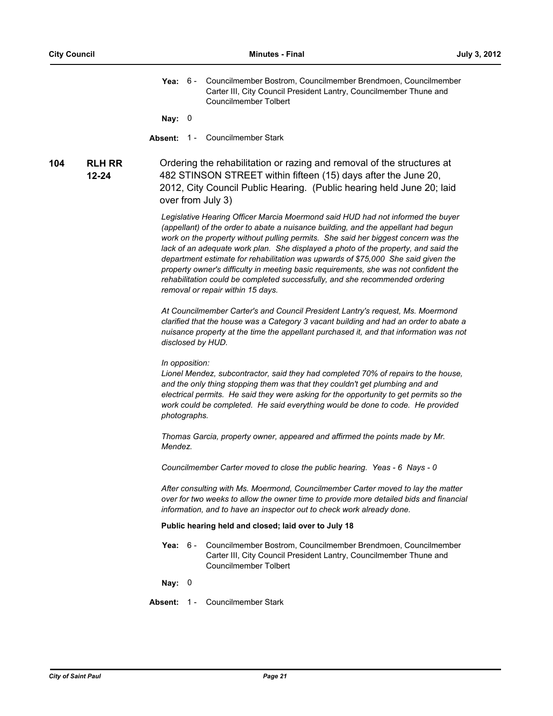**Yea:** Councilmember Bostrom, Councilmember Brendmoen, Councilmember Carter III, City Council President Lantry, Councilmember Thune and Councilmember Tolbert Yea:  $6 -$ 

**Nay:** 0

**Absent:** 1 - Councilmember Stark

**RLH RR 12-24 104 RLH RR** Ordering the rehabilitation or razing and removal of the structures at 482 STINSON STREET within fifteen (15) days after the June 20, 2012, City Council Public Hearing. (Public hearing held June 20; laid over from July 3)

> *Legislative Hearing Officer Marcia Moermond said HUD had not informed the buyer (appellant) of the order to abate a nuisance building, and the appellant had begun work on the property without pulling permits. She said her biggest concern was the lack of an adequate work plan. She displayed a photo of the property, and said the department estimate for rehabilitation was upwards of \$75,000 She said given the property owner's difficulty in meeting basic requirements, she was not confident the rehabilitation could be completed successfully, and she recommended ordering removal or repair within 15 days.*

*At Councilmember Carter's and Council President Lantry's request, Ms. Moermond clarified that the house was a Category 3 vacant building and had an order to abate a nuisance property at the time the appellant purchased it, and that information was not disclosed by HUD.*

#### *In opposition:*

*Lionel Mendez, subcontractor, said they had completed 70% of repairs to the house, and the only thing stopping them was that they couldn't get plumbing and and electrical permits. He said they were asking for the opportunity to get permits so the work could be completed. He said everything would be done to code. He provided photographs.*

*Thomas Garcia, property owner, appeared and affirmed the points made by Mr. Mendez.*

*Councilmember Carter moved to close the public hearing. Yeas - 6 Nays - 0*

*After consulting with Ms. Moermond, Councilmember Carter moved to lay the matter over for two weeks to allow the owner time to provide more detailed bids and financial information, and to have an inspector out to check work already done.*

#### **Public hearing held and closed; laid over to July 18**

Yea: 6 - Councilmember Bostrom, Councilmember Brendmoen, Councilmember Carter III, City Council President Lantry, Councilmember Thune and Councilmember Tolbert

**Nay:** 0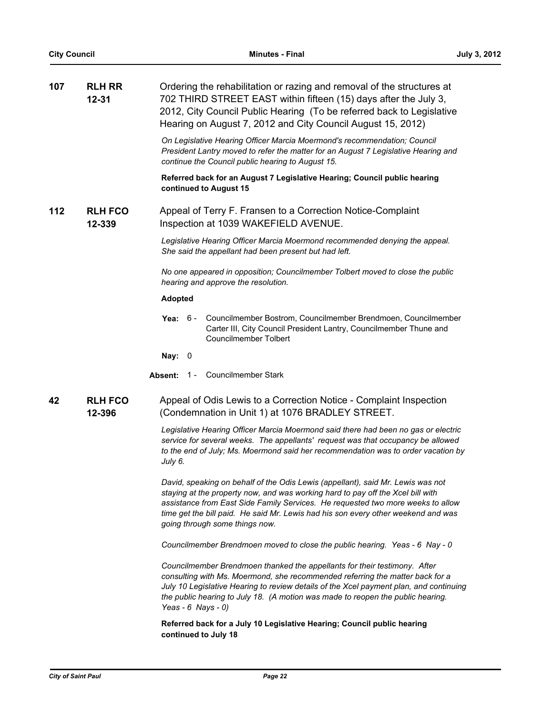| 107 | <b>RLH RR</b><br>$12 - 31$ | Ordering the rehabilitation or razing and removal of the structures at<br>702 THIRD STREET EAST within fifteen (15) days after the July 3,                                                                                                                                                                                                                                   |
|-----|----------------------------|------------------------------------------------------------------------------------------------------------------------------------------------------------------------------------------------------------------------------------------------------------------------------------------------------------------------------------------------------------------------------|
|     |                            | 2012, City Council Public Hearing (To be referred back to Legislative<br>Hearing on August 7, 2012 and City Council August 15, 2012)                                                                                                                                                                                                                                         |
|     |                            | On Legislative Hearing Officer Marcia Moermond's recommendation; Council<br>President Lantry moved to refer the matter for an August 7 Legislative Hearing and<br>continue the Council public hearing to August 15.                                                                                                                                                          |
|     |                            | Referred back for an August 7 Legislative Hearing; Council public hearing<br>continued to August 15                                                                                                                                                                                                                                                                          |
| 112 | <b>RLH FCO</b><br>12-339   | Appeal of Terry F. Fransen to a Correction Notice-Complaint<br>Inspection at 1039 WAKEFIELD AVENUE.                                                                                                                                                                                                                                                                          |
|     |                            | Legislative Hearing Officer Marcia Moermond recommended denying the appeal.<br>She said the appellant had been present but had left.                                                                                                                                                                                                                                         |
|     |                            | No one appeared in opposition; Councilmember Tolbert moved to close the public<br>hearing and approve the resolution.                                                                                                                                                                                                                                                        |
|     |                            | <b>Adopted</b>                                                                                                                                                                                                                                                                                                                                                               |
|     |                            | Councilmember Bostrom, Councilmember Brendmoen, Councilmember<br>Yea:<br>6 -<br>Carter III, City Council President Lantry, Councilmember Thune and<br><b>Councilmember Tolbert</b>                                                                                                                                                                                           |
|     |                            | Nay: $0$                                                                                                                                                                                                                                                                                                                                                                     |
|     |                            | <b>Councilmember Stark</b><br>$1 -$<br>Absent:                                                                                                                                                                                                                                                                                                                               |
| 42  | <b>RLH FCO</b><br>12-396   | Appeal of Odis Lewis to a Correction Notice - Complaint Inspection<br>(Condemnation in Unit 1) at 1076 BRADLEY STREET.                                                                                                                                                                                                                                                       |
|     |                            | Legislative Hearing Officer Marcia Moermond said there had been no gas or electric<br>service for several weeks. The appellants' request was that occupancy be allowed<br>to the end of July; Ms. Moermond said her recommendation was to order vacation by<br>July 6.                                                                                                       |
|     |                            | David, speaking on behalf of the Odis Lewis (appellant), said Mr. Lewis was not<br>staying at the property now, and was working hard to pay off the Xcel bill with<br>assistance from East Side Family Services. He requested two more weeks to allow<br>time get the bill paid. He said Mr. Lewis had his son every other weekend and was<br>going through some things now. |
|     |                            | Councilmember Brendmoen moved to close the public hearing. Yeas - 6 Nay - 0                                                                                                                                                                                                                                                                                                  |
|     |                            | Councilmember Brendmoen thanked the appellants for their testimony. After<br>consulting with Ms. Moermond, she recommended referring the matter back for a<br>July 10 Legislative Hearing to review details of the Xcel payment plan, and continuing<br>the public hearing to July 18. (A motion was made to reopen the public hearing.<br>Yeas - $6$ Nays - $0$ )           |

**Referred back for a July 10 Legislative Hearing; Council public hearing continued to July 18**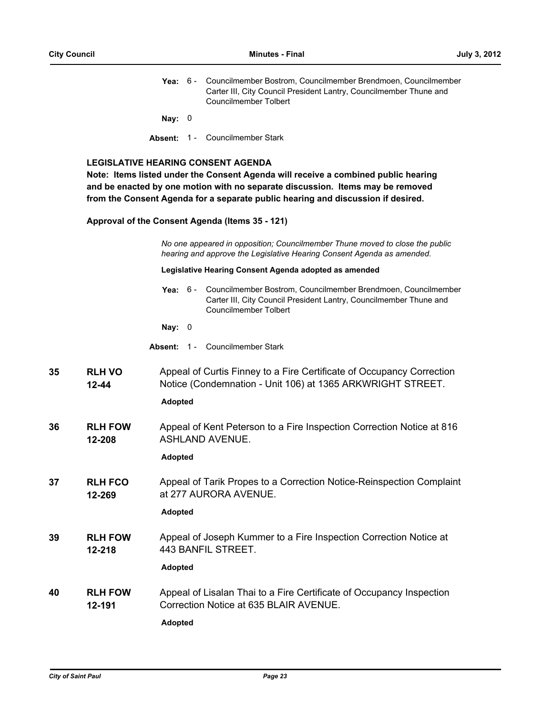|  | <b>Yea:</b> 6 - Councilmember Bostrom, Councilmember Brendmoen, Councilmember |
|--|-------------------------------------------------------------------------------|
|  | Carter III, City Council President Lantry, Councilmember Thune and            |
|  | Councilmember Tolbert                                                         |

**Nay:** 0

**Absent:** 1 - Councilmember Stark

## **LEGISLATIVE HEARING CONSENT AGENDA**

**Note: Items listed under the Consent Agenda will receive a combined public hearing and be enacted by one motion with no separate discussion. Items may be removed from the Consent Agenda for a separate public hearing and discussion if desired.**

### **Approval of the Consent Agenda (Items 35 - 121)**

*No one appeared in opposition; Councilmember Thune moved to close the public hearing and approve the Legislative Hearing Consent Agenda as amended.*

#### **Legislative Hearing Consent Agenda adopted as amended**

|  | Yea: 6 - Councilmember Bostrom, Councilmember Brendmoen, Councilmember |  |  |
|--|------------------------------------------------------------------------|--|--|
|  | Carter III, City Council President Lantry, Councilmember Thune and     |  |  |
|  | Councilmember Tolbert                                                  |  |  |
|  |                                                                        |  |  |

- **Nay:** 0
- **Absent:** 1 Councilmember Stark
- **RLH VO 12-44 35 RLH VO** Appeal of Curtis Finney to a Fire Certificate of Occupancy Correction Notice (Condemnation - Unit 106) at 1365 ARKWRIGHT STREET.

# **Adopted**

**RLH FOW 12-208 36** Appeal of Kent Peterson to a Fire Inspection Correction Notice at 816 ASHLAND AVENUE.

# **Adopted**

**RLH FCO 12-269 37 RLH FCO** Appeal of Tarik Propes to a Correction Notice-Reinspection Complaint at 277 AURORA AVENUE.

# **Adopted**

**RLH FOW 12-218 39 RLH FOW** Appeal of Joseph Kummer to a Fire Inspection Correction Notice at 443 BANFIL STREET.

# **Adopted**

**RLH FOW 12-191 40 RLH FOW** Appeal of Lisalan Thai to a Fire Certificate of Occupancy Inspection Correction Notice at 635 BLAIR AVENUE.

**Adopted**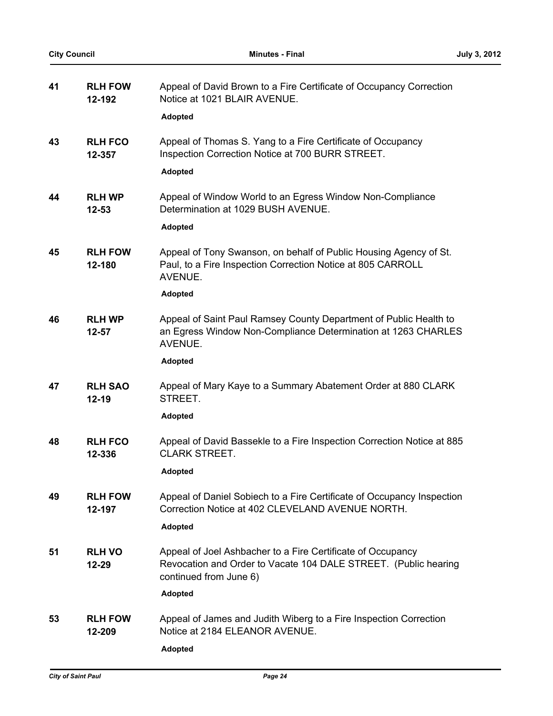| 41 | <b>RLH FOW</b><br>12-192    | Appeal of David Brown to a Fire Certificate of Occupancy Correction<br>Notice at 1021 BLAIR AVENUE.                                                      |
|----|-----------------------------|----------------------------------------------------------------------------------------------------------------------------------------------------------|
|    |                             | Adopted                                                                                                                                                  |
| 43 | <b>RLH FCO</b><br>12-357    | Appeal of Thomas S. Yang to a Fire Certificate of Occupancy<br>Inspection Correction Notice at 700 BURR STREET.                                          |
|    |                             | <b>Adopted</b>                                                                                                                                           |
| 44 | <b>RLH WP</b><br>$12 - 53$  | Appeal of Window World to an Egress Window Non-Compliance<br>Determination at 1029 BUSH AVENUE.                                                          |
|    |                             | <b>Adopted</b>                                                                                                                                           |
| 45 | <b>RLH FOW</b><br>12-180    | Appeal of Tony Swanson, on behalf of Public Housing Agency of St.<br>Paul, to a Fire Inspection Correction Notice at 805 CARROLL<br>AVENUE.              |
|    |                             | <b>Adopted</b>                                                                                                                                           |
| 46 | <b>RLH WP</b><br>$12 - 57$  | Appeal of Saint Paul Ramsey County Department of Public Health to<br>an Egress Window Non-Compliance Determination at 1263 CHARLES<br>AVENUE.            |
|    |                             | <b>Adopted</b>                                                                                                                                           |
| 47 | <b>RLH SAO</b><br>$12 - 19$ | Appeal of Mary Kaye to a Summary Abatement Order at 880 CLARK<br>STREET.                                                                                 |
|    |                             | <b>Adopted</b>                                                                                                                                           |
| 48 | <b>RLH FCO</b><br>12-336    | Appeal of David Bassekle to a Fire Inspection Correction Notice at 885<br><b>CLARK STREET.</b>                                                           |
|    |                             | <b>Adopted</b>                                                                                                                                           |
| 49 | <b>RLH FOW</b><br>12-197    | Appeal of Daniel Sobiech to a Fire Certificate of Occupancy Inspection<br>Correction Notice at 402 CLEVELAND AVENUE NORTH.                               |
|    |                             | Adopted                                                                                                                                                  |
| 51 | <b>RLH VO</b><br>$12 - 29$  | Appeal of Joel Ashbacher to a Fire Certificate of Occupancy<br>Revocation and Order to Vacate 104 DALE STREET. (Public hearing<br>continued from June 6) |
|    |                             | <b>Adopted</b>                                                                                                                                           |
| 53 | <b>RLH FOW</b><br>12-209    | Appeal of James and Judith Wiberg to a Fire Inspection Correction<br>Notice at 2184 ELEANOR AVENUE.                                                      |
|    |                             | <b>Adopted</b>                                                                                                                                           |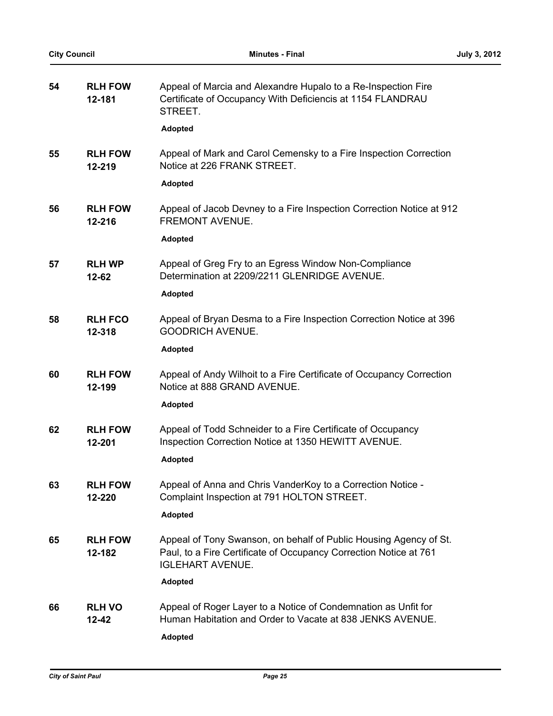| 54 | <b>RLH FOW</b><br>12-181   | Appeal of Marcia and Alexandre Hupalo to a Re-Inspection Fire<br>Certificate of Occupancy With Deficiencis at 1154 FLANDRAU<br>STREET.<br><b>Adopted</b>          |
|----|----------------------------|-------------------------------------------------------------------------------------------------------------------------------------------------------------------|
| 55 | <b>RLH FOW</b><br>12-219   | Appeal of Mark and Carol Cemensky to a Fire Inspection Correction<br>Notice at 226 FRANK STREET.                                                                  |
|    |                            | <b>Adopted</b>                                                                                                                                                    |
| 56 | <b>RLH FOW</b><br>12-216   | Appeal of Jacob Devney to a Fire Inspection Correction Notice at 912<br>FREMONT AVENUE.                                                                           |
|    |                            | <b>Adopted</b>                                                                                                                                                    |
| 57 | <b>RLH WP</b><br>$12 - 62$ | Appeal of Greg Fry to an Egress Window Non-Compliance<br>Determination at 2209/2211 GLENRIDGE AVENUE.                                                             |
|    |                            | <b>Adopted</b>                                                                                                                                                    |
| 58 | <b>RLH FCO</b><br>12-318   | Appeal of Bryan Desma to a Fire Inspection Correction Notice at 396<br><b>GOODRICH AVENUE.</b>                                                                    |
|    |                            | <b>Adopted</b>                                                                                                                                                    |
| 60 | <b>RLH FOW</b><br>12-199   | Appeal of Andy Wilhoit to a Fire Certificate of Occupancy Correction<br>Notice at 888 GRAND AVENUE.                                                               |
|    |                            | <b>Adopted</b>                                                                                                                                                    |
| 62 | <b>RLH FOW</b><br>12-201   | Appeal of Todd Schneider to a Fire Certificate of Occupancy<br>Inspection Correction Notice at 1350 HEWITT AVENUE.                                                |
|    |                            | <b>Adopted</b>                                                                                                                                                    |
| 63 | <b>RLH FOW</b><br>12-220   | Appeal of Anna and Chris VanderKoy to a Correction Notice -<br>Complaint Inspection at 791 HOLTON STREET.                                                         |
|    |                            | Adopted                                                                                                                                                           |
| 65 | <b>RLH FOW</b><br>12-182   | Appeal of Tony Swanson, on behalf of Public Housing Agency of St.<br>Paul, to a Fire Certificate of Occupancy Correction Notice at 761<br><b>IGLEHART AVENUE.</b> |
|    |                            | Adopted                                                                                                                                                           |
| 66 | <b>RLH VO</b><br>12-42     | Appeal of Roger Layer to a Notice of Condemnation as Unfit for<br>Human Habitation and Order to Vacate at 838 JENKS AVENUE.                                       |
|    |                            | Adopted                                                                                                                                                           |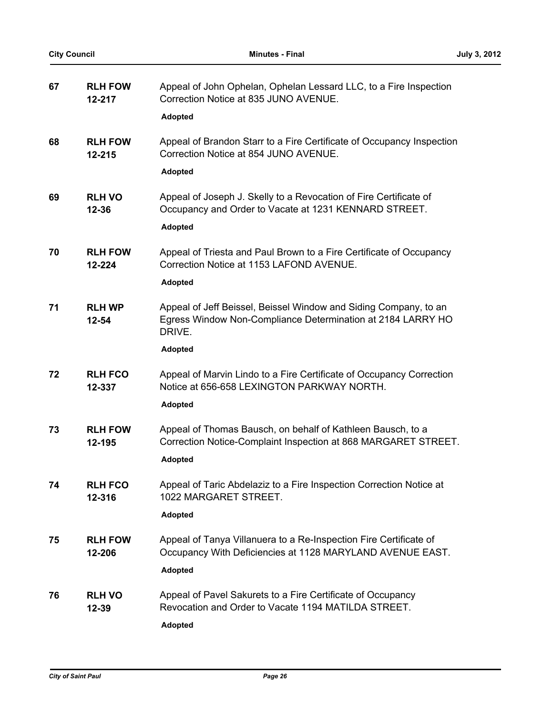| 67 | <b>RLH FOW</b><br>12-217   | Appeal of John Ophelan, Ophelan Lessard LLC, to a Fire Inspection<br>Correction Notice at 835 JUNO AVENUE.<br><b>Adopted</b>                                |
|----|----------------------------|-------------------------------------------------------------------------------------------------------------------------------------------------------------|
| 68 | <b>RLH FOW</b><br>12-215   | Appeal of Brandon Starr to a Fire Certificate of Occupancy Inspection<br>Correction Notice at 854 JUNO AVENUE.<br><b>Adopted</b>                            |
| 69 | <b>RLH VO</b><br>12-36     | Appeal of Joseph J. Skelly to a Revocation of Fire Certificate of<br>Occupancy and Order to Vacate at 1231 KENNARD STREET.<br><b>Adopted</b>                |
| 70 | <b>RLH FOW</b><br>12-224   | Appeal of Triesta and Paul Brown to a Fire Certificate of Occupancy<br>Correction Notice at 1153 LAFOND AVENUE.<br><b>Adopted</b>                           |
| 71 | <b>RLH WP</b><br>$12 - 54$ | Appeal of Jeff Beissel, Beissel Window and Siding Company, to an<br>Egress Window Non-Compliance Determination at 2184 LARRY HO<br>DRIVE.<br><b>Adopted</b> |
| 72 | <b>RLH FCO</b><br>12-337   | Appeal of Marvin Lindo to a Fire Certificate of Occupancy Correction<br>Notice at 656-658 LEXINGTON PARKWAY NORTH.<br>Adopted                               |
| 73 | <b>RLH FOW</b><br>12-195   | Appeal of Thomas Bausch, on behalf of Kathleen Bausch, to a<br>Correction Notice-Complaint Inspection at 868 MARGARET STREET.<br><b>Adopted</b>             |
| 74 | <b>RLH FCO</b><br>12-316   | Appeal of Taric Abdelaziz to a Fire Inspection Correction Notice at<br>1022 MARGARET STREET.<br><b>Adopted</b>                                              |
| 75 | <b>RLH FOW</b><br>12-206   | Appeal of Tanya Villanuera to a Re-Inspection Fire Certificate of<br>Occupancy With Deficiencies at 1128 MARYLAND AVENUE EAST.<br>Adopted                   |
| 76 | <b>RLH VO</b><br>12-39     | Appeal of Pavel Sakurets to a Fire Certificate of Occupancy<br>Revocation and Order to Vacate 1194 MATILDA STREET.<br>Adopted                               |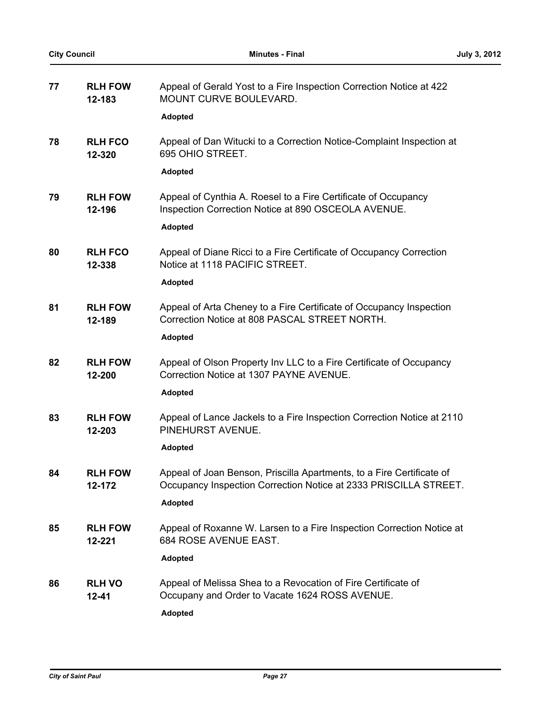| 77 | <b>RLH FOW</b><br>12-183   | Appeal of Gerald Yost to a Fire Inspection Correction Notice at 422<br>MOUNT CURVE BOULEVARD.                                             |
|----|----------------------------|-------------------------------------------------------------------------------------------------------------------------------------------|
|    |                            | <b>Adopted</b>                                                                                                                            |
| 78 | <b>RLH FCO</b><br>12-320   | Appeal of Dan Witucki to a Correction Notice-Complaint Inspection at<br>695 OHIO STREET.                                                  |
|    |                            | Adopted                                                                                                                                   |
| 79 | <b>RLH FOW</b><br>12-196   | Appeal of Cynthia A. Roesel to a Fire Certificate of Occupancy<br>Inspection Correction Notice at 890 OSCEOLA AVENUE.                     |
|    |                            | <b>Adopted</b>                                                                                                                            |
| 80 | <b>RLH FCO</b><br>12-338   | Appeal of Diane Ricci to a Fire Certificate of Occupancy Correction<br>Notice at 1118 PACIFIC STREET.                                     |
|    |                            | <b>Adopted</b>                                                                                                                            |
| 81 | <b>RLH FOW</b><br>12-189   | Appeal of Arta Cheney to a Fire Certificate of Occupancy Inspection<br>Correction Notice at 808 PASCAL STREET NORTH.                      |
|    |                            | <b>Adopted</b>                                                                                                                            |
| 82 | <b>RLH FOW</b><br>12-200   | Appeal of Olson Property Inv LLC to a Fire Certificate of Occupancy<br>Correction Notice at 1307 PAYNE AVENUE.                            |
|    |                            | <b>Adopted</b>                                                                                                                            |
| 83 | <b>RLH FOW</b><br>12-203   | Appeal of Lance Jackels to a Fire Inspection Correction Notice at 2110<br>PINEHURST AVENUE.                                               |
|    |                            | <b>Adopted</b>                                                                                                                            |
| 84 | <b>RLH FOW</b><br>12-172   | Appeal of Joan Benson, Priscilla Apartments, to a Fire Certificate of<br>Occupancy Inspection Correction Notice at 2333 PRISCILLA STREET. |
|    |                            | <b>Adopted</b>                                                                                                                            |
| 85 | <b>RLH FOW</b><br>12-221   | Appeal of Roxanne W. Larsen to a Fire Inspection Correction Notice at<br>684 ROSE AVENUE EAST.                                            |
|    |                            | <b>Adopted</b>                                                                                                                            |
| 86 | <b>RLH VO</b><br>$12 - 41$ | Appeal of Melissa Shea to a Revocation of Fire Certificate of<br>Occupany and Order to Vacate 1624 ROSS AVENUE.                           |
|    |                            | <b>Adopted</b>                                                                                                                            |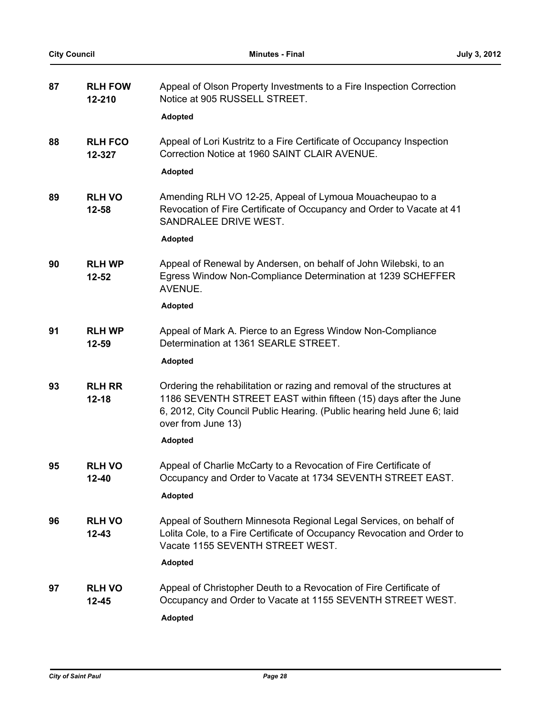| 87 | <b>RLH FOW</b><br>12-210   | Appeal of Olson Property Investments to a Fire Inspection Correction<br>Notice at 905 RUSSELL STREET.                                                                                                                                       |
|----|----------------------------|---------------------------------------------------------------------------------------------------------------------------------------------------------------------------------------------------------------------------------------------|
|    |                            | <b>Adopted</b>                                                                                                                                                                                                                              |
| 88 | <b>RLH FCO</b><br>12-327   | Appeal of Lori Kustritz to a Fire Certificate of Occupancy Inspection<br>Correction Notice at 1960 SAINT CLAIR AVENUE.                                                                                                                      |
|    |                            | <b>Adopted</b>                                                                                                                                                                                                                              |
| 89 | <b>RLH VO</b><br>12-58     | Amending RLH VO 12-25, Appeal of Lymoua Mouacheupao to a<br>Revocation of Fire Certificate of Occupancy and Order to Vacate at 41<br>SANDRALEE DRIVE WEST.                                                                                  |
|    |                            | <b>Adopted</b>                                                                                                                                                                                                                              |
| 90 | <b>RLH WP</b><br>12-52     | Appeal of Renewal by Andersen, on behalf of John Wilebski, to an<br>Egress Window Non-Compliance Determination at 1239 SCHEFFER<br>AVENUE.                                                                                                  |
|    |                            | <b>Adopted</b>                                                                                                                                                                                                                              |
| 91 | <b>RLH WP</b><br>12-59     | Appeal of Mark A. Pierce to an Egress Window Non-Compliance<br>Determination at 1361 SEARLE STREET.                                                                                                                                         |
|    |                            | <b>Adopted</b>                                                                                                                                                                                                                              |
| 93 | <b>RLH RR</b><br>$12 - 18$ | Ordering the rehabilitation or razing and removal of the structures at<br>1186 SEVENTH STREET EAST within fifteen (15) days after the June<br>6, 2012, City Council Public Hearing. (Public hearing held June 6; laid<br>over from June 13) |
|    |                            | <b>Adopted</b>                                                                                                                                                                                                                              |
| 95 | <b>RLH VO</b><br>12-40     | Appeal of Charlie McCarty to a Revocation of Fire Certificate of<br>Occupancy and Order to Vacate at 1734 SEVENTH STREET EAST.                                                                                                              |
|    |                            | <b>Adopted</b>                                                                                                                                                                                                                              |
| 96 | <b>RLH VO</b><br>$12 - 43$ | Appeal of Southern Minnesota Regional Legal Services, on behalf of<br>Lolita Cole, to a Fire Certificate of Occupancy Revocation and Order to<br>Vacate 1155 SEVENTH STREET WEST.                                                           |
|    |                            | <b>Adopted</b>                                                                                                                                                                                                                              |
| 97 | <b>RLH VO</b><br>$12 - 45$ | Appeal of Christopher Deuth to a Revocation of Fire Certificate of<br>Occupancy and Order to Vacate at 1155 SEVENTH STREET WEST.<br><b>Adopted</b>                                                                                          |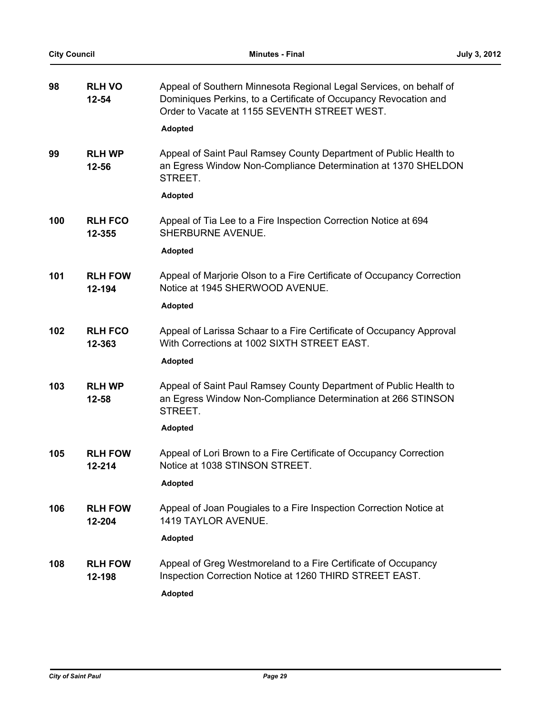| <b>City Council</b> |                            | <b>Minutes - Final</b>                                                                                                                                                                 | July 3, 2012 |
|---------------------|----------------------------|----------------------------------------------------------------------------------------------------------------------------------------------------------------------------------------|--------------|
| 98                  | <b>RLH VO</b><br>$12 - 54$ | Appeal of Southern Minnesota Regional Legal Services, on behalf of<br>Dominiques Perkins, to a Certificate of Occupancy Revocation and<br>Order to Vacate at 1155 SEVENTH STREET WEST. |              |
|                     |                            | <b>Adopted</b>                                                                                                                                                                         |              |
| 99                  | <b>RLH WP</b><br>12-56     | Appeal of Saint Paul Ramsey County Department of Public Health to<br>an Egress Window Non-Compliance Determination at 1370 SHELDON<br>STREET.                                          |              |
|                     |                            | <b>Adopted</b>                                                                                                                                                                         |              |
| 100                 | <b>RLH FCO</b><br>12-355   | Appeal of Tia Lee to a Fire Inspection Correction Notice at 694<br>SHERBURNE AVENUE.                                                                                                   |              |
|                     |                            | <b>Adopted</b>                                                                                                                                                                         |              |
| 101                 | <b>RLH FOW</b><br>12-194   | Appeal of Marjorie Olson to a Fire Certificate of Occupancy Correction<br>Notice at 1945 SHERWOOD AVENUE.                                                                              |              |
|                     |                            | <b>Adopted</b>                                                                                                                                                                         |              |
| 102                 | <b>RLH FCO</b><br>12-363   | Appeal of Larissa Schaar to a Fire Certificate of Occupancy Approval<br>With Corrections at 1002 SIXTH STREET EAST.                                                                    |              |
|                     |                            | <b>Adopted</b>                                                                                                                                                                         |              |
| 103                 | <b>RLH WP</b><br>12-58     | Appeal of Saint Paul Ramsey County Department of Public Health to<br>an Egress Window Non-Compliance Determination at 266 STINSON<br>STREET.                                           |              |
|                     |                            | <b>Adopted</b>                                                                                                                                                                         |              |
| 105                 | <b>RLH FOW</b><br>12-214   | Appeal of Lori Brown to a Fire Certificate of Occupancy Correction<br>Notice at 1038 STINSON STREET.                                                                                   |              |
|                     |                            | <b>Adopted</b>                                                                                                                                                                         |              |
| 106                 | <b>RLH FOW</b><br>12-204   | Appeal of Joan Pougiales to a Fire Inspection Correction Notice at<br>1419 TAYLOR AVENUE.                                                                                              |              |
|                     |                            | <b>Adopted</b>                                                                                                                                                                         |              |
| 108                 | <b>RLH FOW</b><br>12-198   | Appeal of Greg Westmoreland to a Fire Certificate of Occupancy<br>Inspection Correction Notice at 1260 THIRD STREET EAST.                                                              |              |
|                     |                            | <b>Adopted</b>                                                                                                                                                                         |              |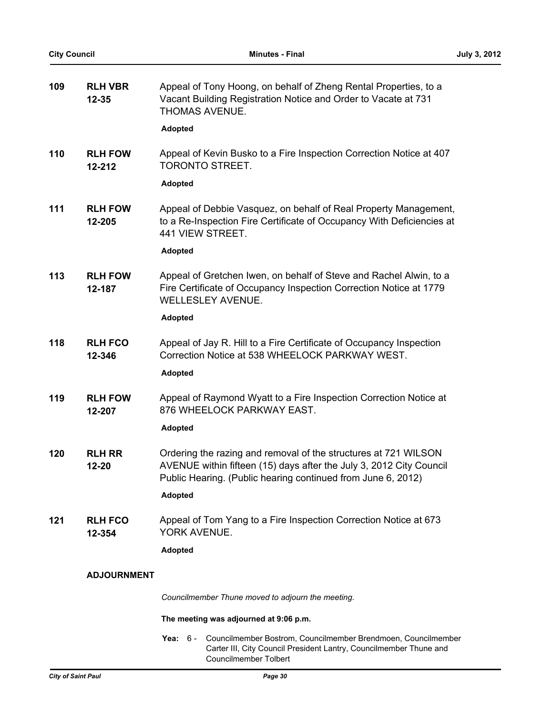| 109 | <b>RLH VBR</b><br>$12 - 35$ | Appeal of Tony Hoong, on behalf of Zheng Rental Properties, to a<br>Vacant Building Registration Notice and Order to Vacate at 731<br>THOMAS AVENUE.                                                   |
|-----|-----------------------------|--------------------------------------------------------------------------------------------------------------------------------------------------------------------------------------------------------|
|     |                             | <b>Adopted</b>                                                                                                                                                                                         |
| 110 | <b>RLH FOW</b><br>12-212    | Appeal of Kevin Busko to a Fire Inspection Correction Notice at 407<br>TORONTO STREET.                                                                                                                 |
|     |                             | Adopted                                                                                                                                                                                                |
| 111 | <b>RLH FOW</b><br>12-205    | Appeal of Debbie Vasquez, on behalf of Real Property Management,<br>to a Re-Inspection Fire Certificate of Occupancy With Deficiencies at<br>441 VIEW STREET.                                          |
|     |                             | <b>Adopted</b>                                                                                                                                                                                         |
| 113 | <b>RLH FOW</b><br>12-187    | Appeal of Gretchen Iwen, on behalf of Steve and Rachel Alwin, to a<br>Fire Certificate of Occupancy Inspection Correction Notice at 1779<br><b>WELLESLEY AVENUE.</b>                                   |
|     |                             | Adopted                                                                                                                                                                                                |
| 118 | <b>RLH FCO</b><br>12-346    | Appeal of Jay R. Hill to a Fire Certificate of Occupancy Inspection<br>Correction Notice at 538 WHEELOCK PARKWAY WEST.                                                                                 |
|     |                             | <b>Adopted</b>                                                                                                                                                                                         |
| 119 | <b>RLH FOW</b><br>12-207    | Appeal of Raymond Wyatt to a Fire Inspection Correction Notice at<br>876 WHEELOCK PARKWAY EAST.                                                                                                        |
|     |                             | <b>Adopted</b>                                                                                                                                                                                         |
| 120 | <b>RLH RR</b><br>12-20      | Ordering the razing and removal of the structures at 721 WILSON<br>AVENUE within fifteen (15) days after the July 3, 2012 City Council<br>Public Hearing. (Public hearing continued from June 6, 2012) |
|     |                             | <b>Adopted</b>                                                                                                                                                                                         |
| 121 | <b>RLH FCO</b><br>12-354    | Appeal of Tom Yang to a Fire Inspection Correction Notice at 673<br>YORK AVENUE.                                                                                                                       |
|     |                             | <b>Adopted</b>                                                                                                                                                                                         |
|     | <b>ADJOURNMENT</b>          |                                                                                                                                                                                                        |
|     |                             | Councilmember Thune moved to adjourn the meeting.                                                                                                                                                      |
|     |                             | The meeting was adjourned at 9:06 p.m.                                                                                                                                                                 |
|     |                             | Councilmember Bostrom, Councilmember Brendmoen, Councilmember<br>Yea: $6-$                                                                                                                             |

Councilmember Tolbert

Carter III, City Council President Lantry, Councilmember Thune and